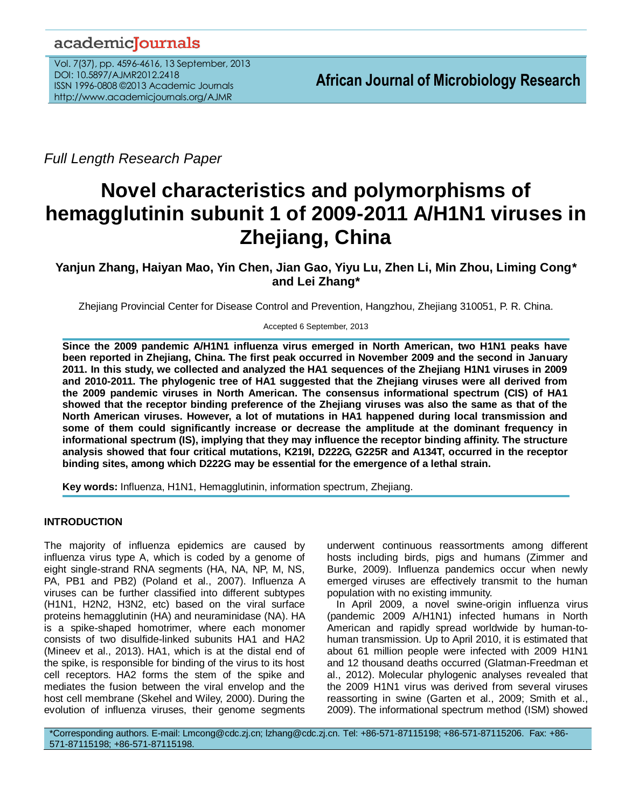# academicJournals

Vol. 7(37), pp. 4596-4616, 13 September, 2013 DOI: 10.5897/AJMR2012.2418 ISSN 1996-0808 ©2013 Academic Journals http://www.academicjournals.org/AJMR

*Full Length Research Paper*

# **Novel characteristics and polymorphisms of hemagglutinin subunit 1 of 2009-2011 A/H1N1 viruses in Zhejiang, China**

**Yanjun Zhang, Haiyan Mao, Yin Chen, Jian Gao, Yiyu Lu, Zhen Li, Min Zhou, Liming Cong\* and Lei Zhang\***

Zhejiang Provincial Center for Disease Control and Prevention, Hangzhou, Zhejiang 310051, P. R. China.

Accepted 6 September, 2013

**Since the 2009 pandemic A/H1N1 influenza virus emerged in North American, two H1N1 peaks have been reported in Zhejiang, China. The first peak occurred in November 2009 and the second in January 2011. In this study, we collected and analyzed the HA1 sequences of the Zhejiang H1N1 viruses in 2009 and 2010-2011. The phylogenic tree of HA1 suggested that the Zhejiang viruses were all derived from the 2009 pandemic viruses in North American. The consensus informational spectrum (CIS) of HA1 showed that the receptor binding preference of the Zhejiang viruses was also the same as that of the North American viruses. However, a lot of mutations in HA1 happened during local transmission and some of them could significantly increase or decrease the amplitude at the dominant frequency in informational spectrum (IS), implying that they may influence the receptor binding affinity. The structure analysis showed that four critical mutations, K219I, D222G, G225R and A134T, occurred in the receptor binding sites, among which D222G may be essential for the emergence of a lethal strain.**

**Key words:** Influenza, H1N1, Hemagglutinin, information spectrum, Zhejiang.

# **INTRODUCTION**

The majority of influenza epidemics are caused by influenza virus type A, which is coded by a genome of eight single-strand RNA segments (HA, NA, NP, M, NS, PA, PB1 and PB2) (Poland et al., 2007). Influenza A viruses can be further classified into different subtypes (H1N1, H2N2, H3N2, etc) based on the viral surface proteins hemagglutinin (HA) and neuraminidase (NA). HA is a spike-shaped homotrimer, where each monomer consists of two disulfide-linked subunits HA1 and HA2 (Mineev et al., 2013). HA1, which is at the distal end of the spike, is responsible for binding of the virus to its host cell receptors. HA2 forms the stem of the spike and mediates the fusion between the viral envelop and the host cell membrane (Skehel and Wiley, 2000). During the evolution of influenza viruses, their genome segments underwent continuous reassortments among different hosts including birds, pigs and humans (Zimmer and Burke, 2009). Influenza pandemics occur when newly emerged viruses are effectively transmit to the human population with no existing immunity.

In April 2009, a novel swine-origin influenza virus (pandemic 2009 A/H1N1) infected humans in North American and rapidly spread worldwide by human-tohuman transmission. Up to April 2010, it is estimated that about 61 million people were infected with 2009 H1N1 and 12 thousand deaths occurred (Glatman-Freedman et al., 2012). Molecular phylogenic analyses revealed that the 2009 H1N1 virus was derived from several viruses reassorting in swine (Garten et al., 2009; Smith et al., 2009). The informational spectrum method (ISM) showed

\*Corresponding authors. E-mail: Lmcong@cdc.zj.cn; lzhang@cdc.zj.cn. Tel: +86-571-87115198; +86-571-87115206. Fax: +86- 571-87115198; +86-571-87115198.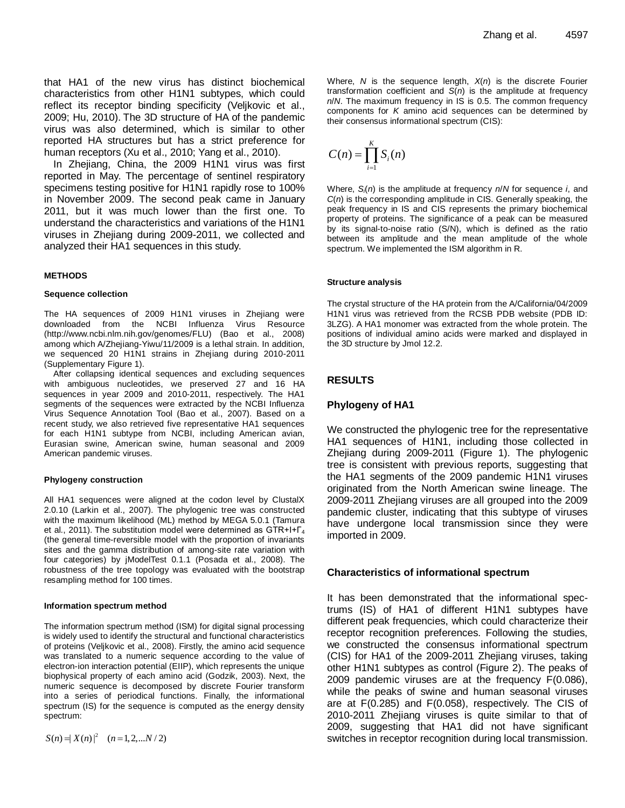that HA1 of the new virus has distinct biochemical characteristics from other H1N1 subtypes, which could reflect its receptor binding specificity (Veljkovic et al., 2009; Hu, 2010). The 3D structure of HA of the pandemic virus was also determined, which is similar to other reported HA structures but has a strict preference for human receptors (Xu et al., 2010; Yang et al., 2010).

In Zhejiang, China, the 2009 H1N1 virus was first reported in May. The percentage of sentinel respiratory specimens testing positive for H1N1 rapidly rose to 100% in November 2009. The second peak came in January 2011, but it was much lower than the first one. To understand the characteristics and variations of the H1N1 viruses in Zhejiang during 2009-2011, we collected and analyzed their HA1 sequences in this study.

#### **METHODS**

#### **Sequence collection**

The HA sequences of 2009 H1N1 viruses in Zhejiang were downloaded from the NCBI Influenza Virus Resource [\(http://www.ncbi.nlm.nih.gov/genomes/FLU\)](http://www.ncbi.nlm.nih.gov/genomes/FLU) (Bao et al., 2008) among which A/Zhejiang-Yiwu/11/2009 is a lethal strain. In addition, we sequenced 20 H1N1 strains in Zhejiang during 2010-2011 (Supplementary Figure 1).

After collapsing identical sequences and excluding sequences with ambiguous nucleotides, we preserved 27 and 16 HA sequences in year 2009 and 2010-2011, respectively. The HA1 segments of the sequences were extracted by the NCBI Influenza Virus Sequence Annotation Tool (Bao et al., 2007). Based on a recent study, we also retrieved five representative HA1 sequences for each H1N1 subtype from NCBI, including American avian, Eurasian swine, American swine, human seasonal and 2009 American pandemic viruses.

#### **Phylogeny construction**

All HA1 sequences were aligned at the codon level by ClustalX 2.0.10 (Larkin et al., 2007). The phylogenic tree was constructed with the maximum likelihood (ML) method by MEGA 5.0.1 (Tamura et al., 2011). The substitution model were determined as  $GTR+I+F_4$ (the general time-reversible model with the proportion of invariants sites and the gamma distribution of among-site rate variation with four categories) by jModelTest 0.1.1 (Posada et al., 2008). The robustness of the tree topology was evaluated with the bootstrap resampling method for 100 times.

#### **Information spectrum method**

The information spectrum method (ISM) for digital signal processing is widely used to identify the structural and functional characteristics of proteins (Veljkovic et al., 2008). Firstly, the amino acid sequence was translated to a numeric sequence according to the value of electron-ion interaction potential (EIIP), which represents the unique biophysical property of each amino acid (Godzik, 2003). Next, the numeric sequence is decomposed by discrete Fourier transform into a series of periodical functions. Finally, the informational spectrum (IS) for the sequence is computed as the energy density spectrum:

 $S(n) = |X(n)|^2$  (*n* = 1, 2, ... *N* / 2)

Where, *N* is the sequence length, *X*(*n*) is the discrete Fourier transformation coefficient and *S*(*n*) is the amplitude at frequency *n*/*N*. The maximum frequency in IS is 0.5. The common frequency components for *K* amino acid sequences can be determined by their consensus informational spectrum (CIS):

$$
C(n) = \prod_{i=1}^K S_i(n)
$$

Where, *Si*(*n*) is the amplitude at frequency *n*/*N* for sequence *i*, and *C*(*n*) is the corresponding amplitude in CIS. Generally speaking, the peak frequency in IS and CIS represents the primary biochemical property of proteins. The significance of a peak can be measured by its signal-to-noise ratio (S/N), which is defined as the ratio between its amplitude and the mean amplitude of the whole spectrum. We implemented the ISM algorithm in R.

#### **Structure analysis**

The crystal structure of the HA protein from the A/California/04/2009 H1N1 virus was retrieved from the RCSB PDB website (PDB ID: 3LZG). A HA1 monomer was extracted from the whole protein. The positions of individual amino acids were marked and displayed in the 3D structure by Jmol 12.2.

# **RESULTS**

# **Phylogeny of HA1**

We constructed the phylogenic tree for the representative HA1 sequences of H1N1, including those collected in Zhejiang during 2009-2011 (Figure 1). The phylogenic tree is consistent with previous reports, suggesting that the HA1 segments of the 2009 pandemic H1N1 viruses originated from the North American swine lineage. The 2009-2011 Zhejiang viruses are all grouped into the 2009 pandemic cluster, indicating that this subtype of viruses have undergone local transmission since they were imported in 2009.

#### **Characteristics of informational spectrum**

It has been demonstrated that the informational spectrums (IS) of HA1 of different H1N1 subtypes have different peak frequencies, which could characterize their receptor recognition preferences. Following the studies, we constructed the consensus informational spectrum (CIS) for HA1 of the 2009-2011 Zhejiang viruses, taking other H1N1 subtypes as control (Figure 2). The peaks of 2009 pandemic viruses are at the frequency F(0.086), while the peaks of swine and human seasonal viruses are at F(0.285) and F(0.058), respectively. The CIS of 2010-2011 Zhejiang viruses is quite similar to that of 2009, suggesting that HA1 did not have significant switches in receptor recognition during local transmission.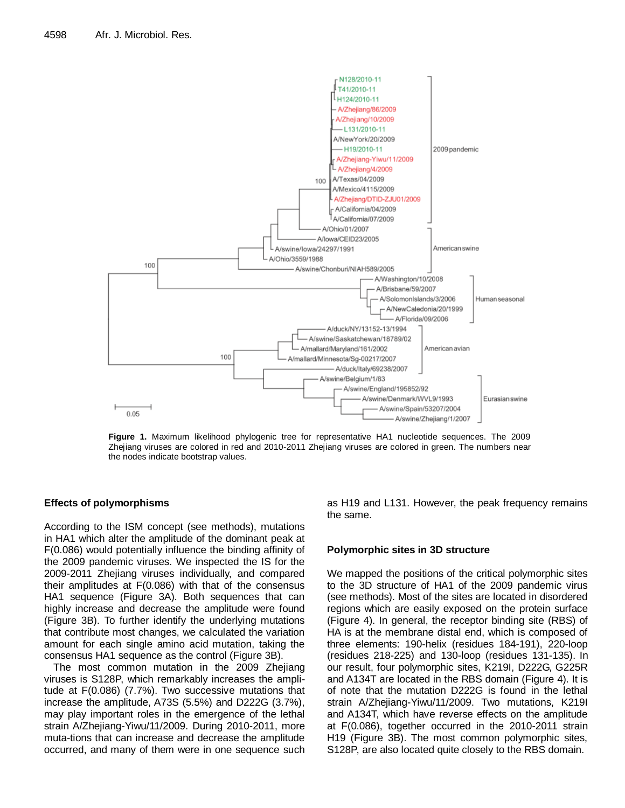

**Figure 1.** Maximum likelihood phylogenic tree for representative HA1 nucleotide sequences. The 2009 Zhejiang viruses are colored in red and 2010-2011 Zhejiang viruses are colored in green. The numbers near the nodes indicate bootstrap values.

# **Effects of polymorphisms**

According to the ISM concept (see methods), mutations in HA1 which alter the amplitude of the dominant peak at F(0.086) would potentially influence the binding affinity of the 2009 pandemic viruses. We inspected the IS for the 2009-2011 Zhejiang viruses individually, and compared their amplitudes at F(0.086) with that of the consensus HA1 sequence (Figure 3A). Both sequences that can highly increase and decrease the amplitude were found (Figure 3B). To further identify the underlying mutations that contribute most changes, we calculated the variation amount for each single amino acid mutation, taking the consensus HA1 sequence as the control (Figure 3B).

The most common mutation in the 2009 Zhejiang viruses is S128P, which remarkably increases the amplitude at F(0.086) (7.7%). Two successive mutations that increase the amplitude, A73S (5.5%) and D222G (3.7%), may play important roles in the emergence of the lethal strain A/Zhejiang-Yiwu/11/2009. During 2010-2011, more muta-tions that can increase and decrease the amplitude occurred, and many of them were in one sequence such as H19 and L131. However, the peak frequency remains the same.

# **Polymorphic sites in 3D structure**

We mapped the positions of the critical polymorphic sites to the 3D structure of HA1 of the 2009 pandemic virus (see methods). Most of the sites are located in disordered regions which are easily exposed on the protein surface (Figure 4). In general, the receptor binding site (RBS) of HA is at the membrane distal end, which is composed of three elements: 190-helix (residues 184-191), 220-loop (residues 218-225) and 130-loop (residues 131-135). In our result, four polymorphic sites, K219I, D222G, G225R and A134T are located in the RBS domain (Figure 4). It is of note that the mutation D222G is found in the lethal strain A/Zhejiang-Yiwu/11/2009. Two mutations, K219I and A134T, which have reverse effects on the amplitude at F(0.086), together occurred in the 2010-2011 strain H19 (Figure 3B). The most common polymorphic sites, S128P, are also located quite closely to the RBS domain.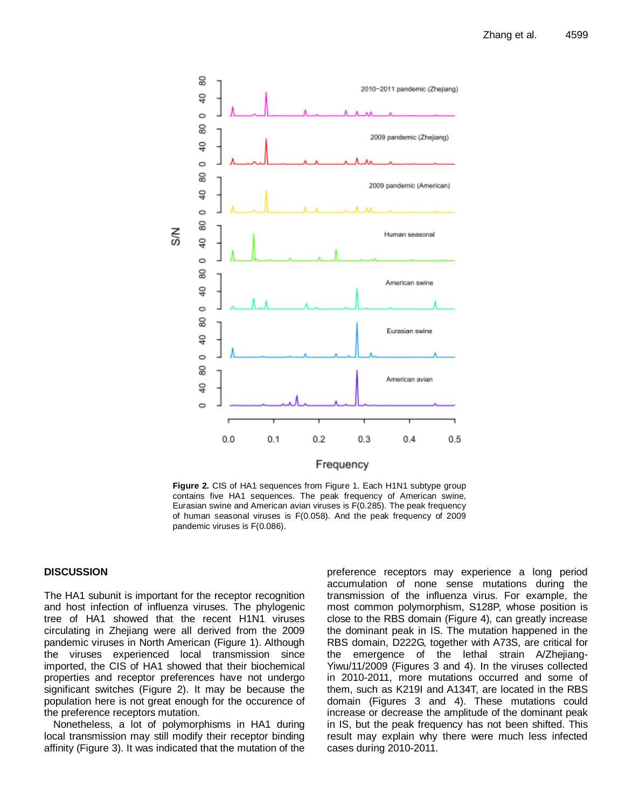

**Figure 2.** CIS of HA1 sequences from Figure 1. Each H1N1 subtype group contains five HA1 sequences. The peak frequency of American swine, Eurasian swine and American avian viruses is F(0.285). The peak frequency of human seasonal viruses is F(0.058). And the peak frequency of 2009 pandemic viruses is F(0.086).

# **DISCUSSION**

The HA1 subunit is important for the receptor recognition and host infection of influenza viruses. The phylogenic tree of HA1 showed that the recent H1N1 viruses circulating in Zhejiang were all derived from the 2009 pandemic viruses in North American (Figure 1). Although the viruses experienced local transmission since imported, the CIS of HA1 showed that their biochemical properties and receptor preferences have not undergo significant switches (Figure 2). It may be because the population here is not great enough for the occurence of the preference receptors mutation.

Nonetheless, a lot of polymorphisms in HA1 during local transmission may still modify their receptor binding affinity (Figure 3). It was indicated that the mutation of the preference receptors may experience a long period accumulation of none sense mutations during the transmission of the influenza virus. For example, the most common polymorphism, S128P, whose position is close to the RBS domain (Figure 4), can greatly increase the dominant peak in IS. The mutation happened in the RBS domain, D222G, together with A73S, are critical for the emergence of the lethal strain A/Zhejiang-Yiwu/11/2009 (Figures 3 and 4). In the viruses collected in 2010-2011, more mutations occurred and some of them, such as K219I and A134T, are located in the RBS domain (Figures 3 and 4). These mutations could increase or decrease the amplitude of the dominant peak in IS, but the peak frequency has not been shifted. This result may explain why there were much less infected cases during 2010-2011.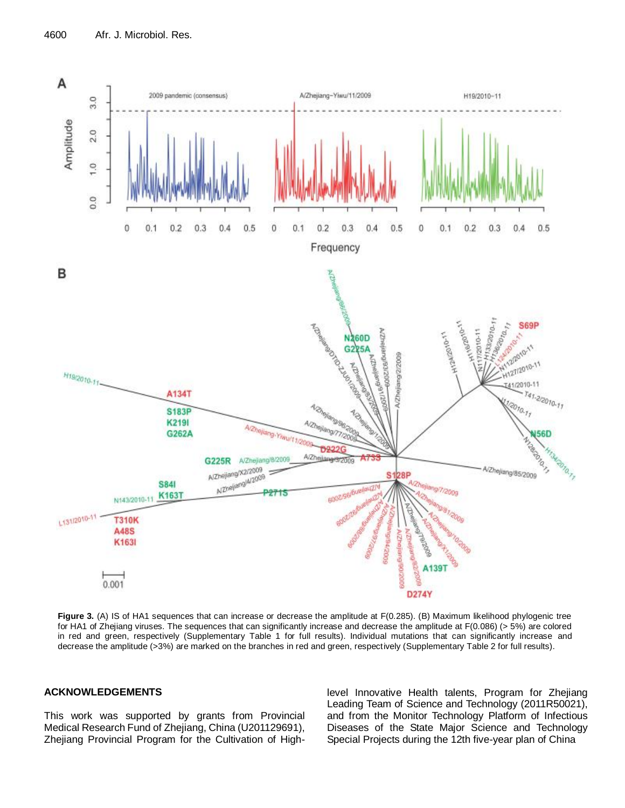

**Figure 3.** (A) IS of HA1 sequences that can increase or decrease the amplitude at F(0.285). (B) Maximum likelihood phylogenic tree for HA1 of Zhejiang viruses. The sequences that can significantly increase and decrease the amplitude at F(0.086) (> 5%) are colored in red and green, respectively (Supplementary Table 1 for full results). Individual mutations that can significantly increase and decrease the amplitude (>3%) are marked on the branches in red and green, respectively (Supplementary Table 2 for full results).

# **ACKNOWLEDGEMENTS**

This work was supported by grants from Provincial Medical Research Fund of Zhejiang, China (U201129691), Zhejiang Provincial Program for the Cultivation of Highlevel Innovative Health talents, Program for Zhejiang Leading Team of Science and Technology (2011R50021), and from the Monitor Technology Platform of Infectious Diseases of the State Major Science and Technology Special Projects during the 12th five-year plan of China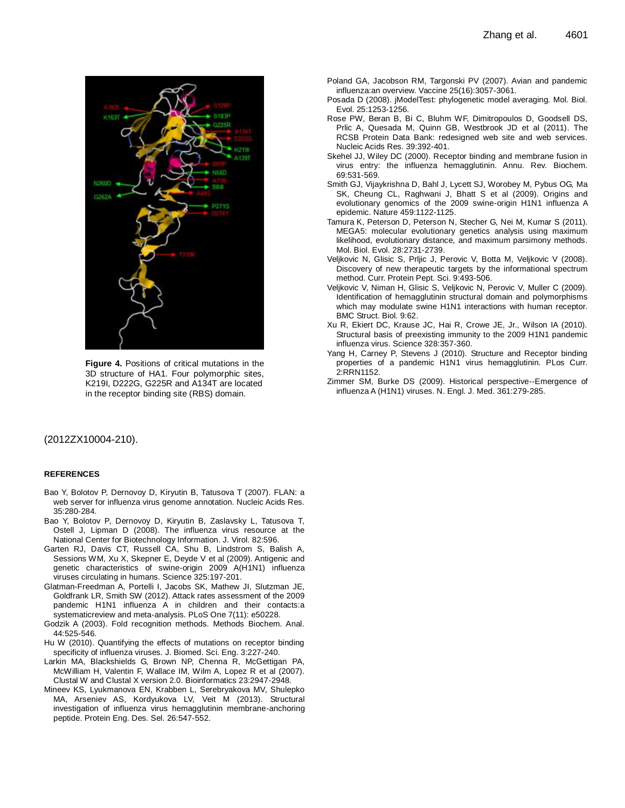

**Figure 4.** Positions of critical mutations in the 3D structure of HA1. Four polymorphic sites, K219I, D222G, G225R and A134T are located in the receptor binding site (RBS) domain.

#### (2012ZX10004-210).

#### **REFERENCES**

- Bao Y, Bolotov P, Dernovoy D, Kiryutin B, Tatusova T (2007). FLAN: a web server for influenza virus genome annotation. Nucleic Acids Res. 35:280-284.
- Bao Y, Bolotov P, Dernovoy D, Kiryutin B, Zaslavsky L, Tatusova T, Ostell J, Lipman D (2008). The influenza virus resource at the National Center for Biotechnology Information. J. Virol. 82:596.
- Garten RJ, Davis CT, Russell CA, Shu B, Lindstrom S, Balish A, Sessions WM, Xu X, Skepner E, Deyde V et al (2009). Antigenic and genetic characteristics of swine-origin 2009 A(H1N1) influenza viruses circulating in humans. Science 325:197-201.
- Glatman-Freedman A, Portelli I, Jacobs SK, Mathew JI, Slutzman JE, Goldfrank LR, Smith SW (2012). Attack rates assessment of the 2009 pandemic H1N1 influenza A in children and their contacts:a systematicreview and meta-analysis. PLoS One 7(11): e50228.
- Godzik A (2003). Fold recognition methods. Methods Biochem. Anal. 44:525-546.
- Hu W (2010). Quantifying the effects of mutations on receptor binding specificity of influenza viruses. J. Biomed. Sci. Eng. 3:227-240.
- Larkin MA, Blackshields G, Brown NP, Chenna R, McGettigan PA, McWilliam H, Valentin F, Wallace IM, Wilm A, Lopez R et al (2007). Clustal W and Clustal X version 2.0. Bioinformatics 23:2947-2948.
- Mineev KS, Lyukmanova EN, Krabben L, Serebryakova MV, Shulepko MA, Arseniev AS, Kordyukova LV, Veit M (2013). Structural investigation of influenza virus hemagglutinin membrane-anchoring peptide. Protein Eng. Des. Sel. 26:547-552.
- Poland GA, Jacobson RM, Targonski PV (2007). Avian and pandemic influenza:an overview. Vaccine 25(16):3057-3061.
- Posada D (2008). jModelTest: phylogenetic model averaging. Mol. Biol. Evol. 25:1253-1256.
- Rose PW, Beran B, Bi C, Bluhm WF, Dimitropoulos D, Goodsell DS, Prlic A, Quesada M, Quinn GB, Westbrook JD et al (2011). The RCSB Protein Data Bank: redesigned web site and web services. Nucleic Acids Res. 39:392-401.
- Skehel JJ, Wiley DC (2000). Receptor binding and membrane fusion in virus entry: the influenza hemagglutinin. Annu. Rev. Biochem. 69:531-569.
- Smith GJ, Vijaykrishna D, Bahl J, Lycett SJ, Worobey M, Pybus OG, Ma SK, Cheung CL, Raghwani J, Bhatt S et al (2009). Origins and evolutionary genomics of the 2009 swine-origin H1N1 influenza A epidemic. Nature 459:1122-1125.
- Tamura K, Peterson D, Peterson N, Stecher G, Nei M, Kumar S (2011). MEGA5: molecular evolutionary genetics analysis using maximum likelihood, evolutionary distance, and maximum parsimony methods. Mol. Biol. Evol. 28:2731-2739.
- Veljkovic N, Glisic S, Prljic J, Perovic V, Botta M, Veljkovic V (2008). Discovery of new therapeutic targets by the informational spectrum method. Curr. Protein Pept. Sci. 9:493-506.
- Veljkovic V, Niman H, Glisic S, Veljkovic N, Perovic V, Muller C (2009). Identification of hemagglutinin structural domain and polymorphisms which may modulate swine H1N1 interactions with human receptor. BMC Struct. Biol. 9:62.
- Xu R, Ekiert DC, Krause JC, Hai R, Crowe JE, Jr., Wilson IA (2010). Structural basis of preexisting immunity to the 2009 H1N1 pandemic influenza virus. Science 328:357-360.
- Yang H, Carney P, Stevens J (2010). Structure and Receptor binding properties of a pandemic H1N1 virus hemagglutinin. PLos Curr. 2:RRN1152.
- Zimmer SM, Burke DS (2009). Historical perspective--Emergence of influenza A (H1N1) viruses. N. Engl. J. Med. 361:279-285.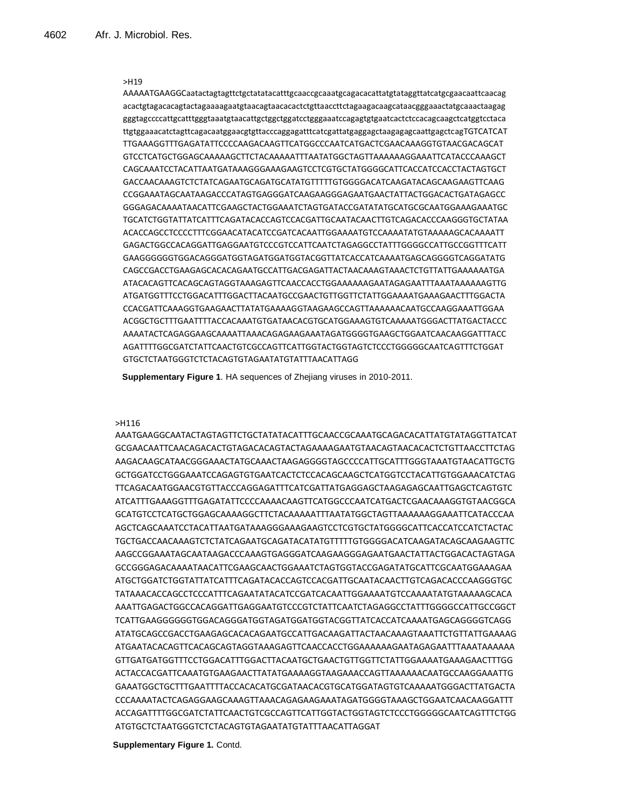AAAAATGAAGGCaatactagtagttctgctatatacatttgcaaccgcaaatgcagacacattatgtataggttatcatgcgaacaattcaacag acactgtagacacagtactagaaaagaatgtaacagtaacacactctgttaaccttctagaagacaagcataacgggaaactatgcaaactaagag gggtagccccattgcatttgggtaaatgtaacattgctggctggatcctgggaaatccagagtgtgaatcactctccacagcaagctcatggtcctaca ttgtggaaacatctagttcagacaatggaacgtgttacccaggagatttcatcgattatgaggagctaagagagcaattgagctcagTGTCATCAT TTGAAAGGTTTGAGATATTCCCCAAGACAAGTTCATGGCCCAATCATGACTCGAACAAAGGTGTAACGACAGCAT GTCCTCATGCTGGAGCAAAAAGCTTCTACAAAAATTTAATATGGCTAGTTAAAAAAGGAAATTCATACCCAAAGCT CAGCAAATCCTACATTAATGATAAAGGGAAAGAAGTCCTCGTGCTATGGGGCATTCACCATCCACCTACTAGTGCT GACCAACAAAGTCTCTATCAGAATGCAGATGCATATGTTTTTGTGGGGACATCAAGATACAGCAAGAAGTTCAAG CCGGAAATAGCAATAAGACCCATAGTGAGGGATCAAGAAGGGAGAATGAACTATTACTGGACACTGATAGAGCC GGGAGACAAAATAACATTCGAAGCTACTGGAAATCTAGTGATACCGATATATGCATGCGCAATGGAAAGAAATGC TGCATCTGGTATTATCATTTCAGATACACCAGTCCACGATTGCAATACAACTTGTCAGACACCCAAGGGTGCTATAA ACACCAGCCTCCCCTTTCGGAACATACATCCGATCACAATTGGAAAATGTCCAAAATATGTAAAAAGCACAAAATT GAGACTGGCCACAGGATTGAGGAATGTCCCGTCCATTCAATCTAGAGGCCTATTTGGGGCCATTGCCGGTTTCATT GAAGGGGGGTGGACAGGGATGGTAGATGGATGGTACGGTTATCACCATCAAAATGAGCAGGGGTCAGGATATG CAGCCGACCTGAAGAGCACACAGAATGCCATTGACGAGATTACTAACAAAGTAAACTCTGTTATTGAAAAAATGA ATACACAGTTCACAGCAGTAGGTAAAGAGTTCAACCACCTGGAAAAAAGAATAGAGAATTTAAATAAAAAAGTTG ATGATGGTTTCCTGGACATTTGGACTTACAATGCCGAACTGTTGGTTCTATTGGAAAATGAAAGAACTTTGGACTA CCACGATTCAAAGGTGAAGAACTTATATGAAAAGGTAAGAAGCCAGTTAAAAAACAATGCCAAGGAAATTGGAA ACGGCTGCTTTGAATTTTACCACAAATGTGATAACACGTGCATGGAAAGTGTCAAAAATGGGACTTATGACTACCC AAAATACTCAGAGGAAGCAAAATTAAACAGAGAAGAAATAGATGGGGTGAAGCTGGAATCAACAAGGATTTACC AGATTTTGGCGATCTATTCAACTGTCGCCAGTTCATTGGTACTGGTAGTCTCCCTGGGGGCAATCAGTTTCTGGAT GTGCTCTAATGGGTCTCTACAGTGTAGAATATGTATTTAACATTAGG

**Supplementary Figure 1**. HA sequences of Zhejiang viruses in 2010-2011.

#### >H116

AAATGAAGGCAATACTAGTAGTTCTGCTATATACATTTGCAACCGCAAATGCAGACACATTATGTATAGGTTATCAT GCGAACAATTCAACAGACACTGTAGACACAGTACTAGAAAAGAATGTAACAGTAACACACTCTGTTAACCTTCTAG AAGACAAGCATAACGGGAAACTATGCAAACTAAGAGGGGTAGCCCCATTGCATTTGGGTAAATGTAACATTGCTG GCTGGATCCTGGGAAATCCAGAGTGTGAATCACTCTCCACAGCAAGCTCATGGTCCTACATTGTGGAAACATCTAG TTCAGACAATGGAACGTGTTACCCAGGAGATTTCATCGATTATGAGGAGCTAAGAGAGCAATTGAGCTCAGTGTC ATCATTTGAAAGGTTTGAGATATTCCCCAAAACAAGTTCATGGCCCAATCATGACTCGAACAAAGGTGTAACGGCA GCATGTCCTCATGCTGGAGCAAAAGGCTTCTACAAAAATTTAATATGGCTAGTTAAAAAAGGAAATTCATACCCAA AGCTCAGCAAATCCTACATTAATGATAAAGGGAAAGAAGTCCTCGTGCTATGGGGCATTCACCATCCATCTACTAC TGCTGACCAACAAAGTCTCTATCAGAATGCAGATACATATGTTTTTGTGGGGACATCAAGATACAGCAAGAAGTTC AAGCCGGAAATAGCAATAAGACCCAAAGTGAGGGATCAAGAAGGGAGAATGAACTATTACTGGACACTAGTAGA GCCGGGAGACAAAATAACATTCGAAGCAACTGGAAATCTAGTGGTACCGAGATATGCATTCGCAATGGAAAGAA ATGCTGGATCTGGTATTATCATTTCAGATACACCAGTCCACGATTGCAATACAACTTGTCAGACACCCAAGGGTGC TATAAACACCAGCCTCCCATTTCAGAATATACATCCGATCACAATTGGAAAATGTCCAAAATATGTAAAAAGCACA AAATTGAGACTGGCCACAGGATTGAGGAATGTCCCGTCTATTCAATCTAGAGGCCTATTTGGGGCCATTGCCGGCT TCATTGAAGGGGGGTGGACAGGGATGGTAGATGGATGGTACGGTTATCACCATCAAAATGAGCAGGGGTCAGG ATATGCAGCCGACCTGAAGAGCACACAGAATGCCATTGACAAGATTACTAACAAAGTAAATTCTGTTATTGAAAAG ATGAATACACAGTTCACAGCAGTAGGTAAAGAGTTCAACCACCTGGAAAAAAGAATAGAGAATTTAAATAAAAAA GTTGATGATGGTTTCCTGGACATTTGGACTTACAATGCTGAACTGTTGGTTCTATTGGAAAATGAAAGAACTTTGG ACTACCACGATTCAAATGTGAAGAACTTATATGAAAAGGTAAGAAACCAGTTAAAAAACAATGCCAAGGAAATTG GAAATGGCTGCTTTGAATTTTACCACACATGCGATAACACGTGCATGGATAGTGTCAAAAATGGGACTTATGACTA CCCAAAATACTCAGAGGAAGCAAAGTTAAACAGAGAAGAAATAGATGGGGTAAAGCTGGAATCAACAAGGATTT ACCAGATTTTGGCGATCTATTCAACTGTCGCCAGTTCATTGGTACTGGTAGTCTCCCTGGGGGCAATCAGTTTCTGG ATGTGCTCTAATGGGTCTCTACAGTGTAGAATATGTATTTAACATTAGGAT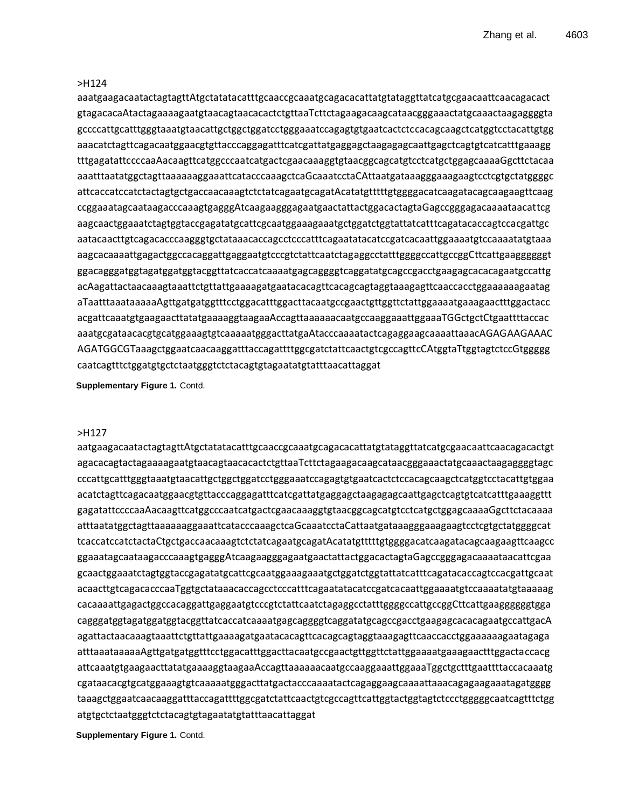aaatgaagacaatactagtagttAtgctatatacatttgcaaccgcaaatgcagacacattatgtataggttatcatgcgaacaattcaacagacact gtagacacaAtactagaaaagaatgtaacagtaacacactctgttaaTcttctagaagacaagcataacgggaaactatgcaaactaagaggggta gccccattgcatttgggtaaatgtaacattgctggctggatcctgggaaatccagagtgtgaatcactctccacagcaagctcatggtcctacattgtgg aaacatctagttcagacaatggaacgtgttacccaggagatttcatcgattatgaggagctaagagagcaattgagctcagtgtcatcatttgaaagg tttgagatattccccaaAacaagttcatggcccaatcatgactcgaacaaaggtgtaacggcagcatgtcctcatgctggagcaaaaGgcttctacaa aaatttaatatggctagttaaaaaaggaaattcatacccaaagctcaGcaaatcctaCAttaatgataaagggaaagaagtcctcgtgctatggggc attcaccatccatctactagtgctgaccaacaaagtctctatcagaatgcagatAcatatgtttttgtggggacatcaagatacagcaagaagttcaag ccggaaatagcaataagacccaaagtgagggAtcaagaagggagaatgaactattactggacactagtaGagccgggagacaaaataacattcg aagcaactggaaatctagtggtaccgagatatgcattcgcaatggaaagaaatgctggatctggtattatcatttcagatacaccagtccacgattgc aatacaacttgtcagacacccaagggtgctataaacaccagcctcccatttcagaatatacatccgatcacaattggaaaatgtccaaaatatgtaaa aagcacaaaattgagactggccacaggattgaggaatgtcccgtctattcaatctagaggcctatttggggccattgccggCttcattgaaggggggt ggacagggatggtagatggatggtacggttatcaccatcaaaatgagcaggggtcaggatatgcagccgacctgaagagcacacagaatgccattg acAagattactaacaaagtaaattctgttattgaaaagatgaatacacagttcacagcagtaggtaaagagttcaaccacctggaaaaaagaatag aTaatttaaataaaaaAgttgatgatggtttcctggacatttggacttacaatgccgaactgttggttctattggaaaatgaaagaactttggactacc acgattcaaatgtgaagaacttatatgaaaaggtaagaaAccagttaaaaaacaatgccaaggaaattggaaaTGGctgctCtgaattttaccac aaatgcgataacacgtgcatggaaagtgtcaaaaatgggacttatgaAtacccaaaatactcagaggaagcaaaattaaacAGAGAAGAAAC AGATGGCGTaaagctggaatcaacaaggatttaccagattttggcgatctattcaactgtcgccagttcCAtggtaTtggtagtctccGtggggg caatcagtttctggatgtgctctaatgggtctctacagtgtagaatatgtatttaacattaggat

**Supplementary Figure 1.** Contd.

#### >H127

aatgaagacaatactagtagttAtgctatatacatttgcaaccgcaaatgcagacacattatgtataggttatcatgcgaacaattcaacagacactgt agacacagtactagaaaagaatgtaacagtaacacactctgttaaTcttctagaagacaagcataacgggaaactatgcaaactaagaggggtagc cccattgcatttgggtaaatgtaacattgctggctggatcctgggaaatccagagtgtgaatcactctccacagcaagctcatggtcctacattgtggaa acatctagttcagacaatggaacgtgttacccaggagatttcatcgattatgaggagctaagagagcaattgagctcagtgtcatcatttgaaaggttt gagatattccccaaAacaagttcatggcccaatcatgactcgaacaaaggtgtaacggcagcatgtcctcatgctggagcaaaaGgcttctacaaaa atttaatatggctagttaaaaaaggaaattcatacccaaagctcaGcaaatcctaCattaatgataaagggaaagaagtcctcgtgctatggggcat tcaccatccatctactaCtgctgaccaacaaagtctctatcagaatgcagatAcatatgtttttgtggggacatcaagatacagcaagaagttcaagcc ggaaatagcaataagacccaaagtgagggAtcaagaagggagaatgaactattactggacactagtaGagccgggagacaaaataacattcgaa gcaactggaaatctagtggtaccgagatatgcattcgcaatggaaagaaatgctggatctggtattatcatttcagatacaccagtccacgattgcaat acaacttgtcagacacccaaTggtgctataaacaccagcctcccatttcagaatatacatccgatcacaattggaaaatgtccaaaatatgtaaaaag cacaaaattgagactggccacaggattgaggaatgtcccgtctattcaatctagaggcctatttggggccattgccggCttcattgaaggggggtgga cagggatggtagatggatggtacggttatcaccatcaaaatgagcaggggtcaggatatgcagccgacctgaagagcacacagaatgccattgacA agattactaacaaagtaaattctgttattgaaaagatgaatacacagttcacagcagtaggtaaagagttcaaccacctggaaaaaagaatagaga atttaaataaaaaAgttgatgatggtttcctggacatttggacttacaatgccgaactgttggttctattggaaaatgaaagaactttggactaccacg attcaaatgtgaagaacttatatgaaaaggtaagaaAccagttaaaaaacaatgccaaggaaattggaaaTggctgctttgaattttaccacaaatg cgataacacgtgcatggaaagtgtcaaaaatgggacttatgactacccaaaatactcagaggaagcaaaattaaacagagaagaaatagatgggg taaagctggaatcaacaaggatttaccagattttggcgatctattcaactgtcgccagttcattggtactggtagtctccctgggggcaatcagtttctgg atgtgctctaatgggtctctacagtgtagaatatgtatttaacattaggat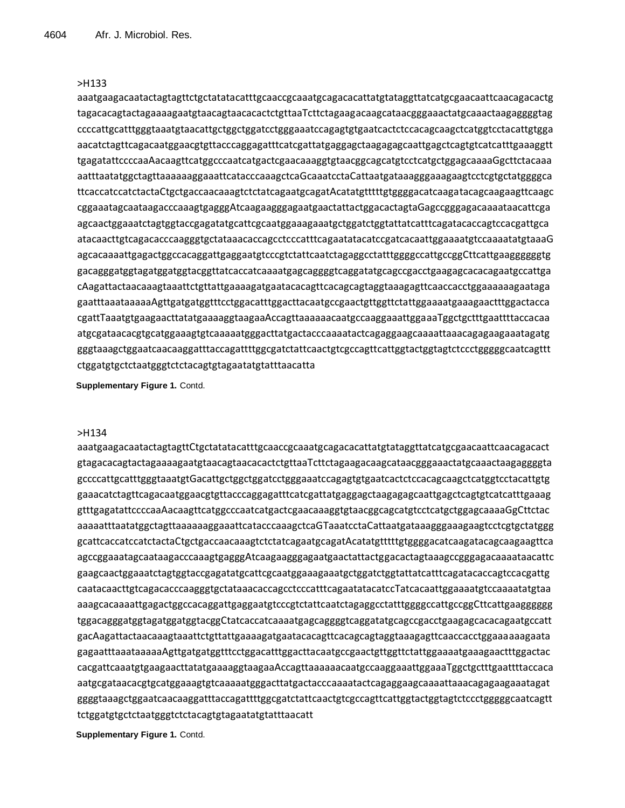aaatgaagacaatactagtagttctgctatatacatttgcaaccgcaaatgcagacacattatgtataggttatcatgcgaacaattcaacagacactg tagacacagtactagaaaagaatgtaacagtaacacactctgttaaTcttctagaagacaagcataacgggaaactatgcaaactaagaggggtag ccccattgcatttgggtaaatgtaacattgctggctggatcctgggaaatccagagtgtgaatcactctccacagcaagctcatggtcctacattgtgga aacatctagttcagacaatggaacgtgttacccaggagatttcatcgattatgaggagctaagagagcaattgagctcagtgtcatcatttgaaaggtt tgagatattccccaaAacaagttcatggcccaatcatgactcgaacaaaggtgtaacggcagcatgtcctcatgctggagcaaaaGgcttctacaaa aatttaatatggctagttaaaaaaggaaattcatacccaaagctcaGcaaatcctaCattaatgataaagggaaagaagtcctcgtgctatggggca ttcaccatccatctactaCtgctgaccaacaaagtctctatcagaatgcagatAcatatgtttttgtggggacatcaagatacagcaagaagttcaagc cggaaatagcaataagacccaaagtgagggAtcaagaagggagaatgaactattactggacactagtaGagccgggagacaaaataacattcga agcaactggaaatctagtggtaccgagatatgcattcgcaatggaaagaaatgctggatctggtattatcatttcagatacaccagtccacgattgca atacaacttgtcagacacccaagggtgctataaacaccagcctcccatttcagaatatacatccgatcacaattggaaaatgtccaaaatatgtaaaG agcacaaaattgagactggccacaggattgaggaatgtcccgtctattcaatctagaggcctatttggggccattgccggCttcattgaaggggggtg gacagggatggtagatggatggtacggttatcaccatcaaaatgagcaggggtcaggatatgcagccgacctgaagagcacacagaatgccattga cAagattactaacaaagtaaattctgttattgaaaagatgaatacacagttcacagcagtaggtaaagagttcaaccacctggaaaaaagaataga gaatttaaataaaaaAgttgatgatggtttcctggacatttggacttacaatgccgaactgttggttctattggaaaatgaaagaactttggactacca cgattTaaatgtgaagaacttatatgaaaaggtaagaaAccagttaaaaaacaatgccaaggaaattggaaaTggctgctttgaattttaccacaa atgcgataacacgtgcatggaaagtgtcaaaaatgggacttatgactacccaaaatactcagaggaagcaaaattaaacagagaagaaatagatg gggtaaagctggaatcaacaaggatttaccagattttggcgatctattcaactgtcgccagttcattggtactggtagtctccctgggggcaatcagttt ctggatgtgctctaatgggtctctacagtgtagaatatgtatttaacatta

**Supplementary Figure 1.** Contd.

#### >H134

aaatgaagacaatactagtagttCtgctatatacatttgcaaccgcaaatgcagacacattatgtataggttatcatgcgaacaattcaacagacact gtagacacagtactagaaaagaatgtaacagtaacacactctgttaaTcttctagaagacaagcataacgggaaactatgcaaactaagaggggta gccccattgcatttgggtaaatgtGacattgctggctggatcctgggaaatccagagtgtgaatcactctccacagcaagctcatggtcctacattgtg gaaacatctagttcagacaatggaacgtgttacccaggagatttcatcgattatgaggagctaagagagcaattgagctcagtgtcatcatttgaaag gtttgagatattccccaaAacaagttcatggcccaatcatgactcgaacaaaggtgtaacggcagcatgtcctcatgctggagcaaaaGgCttctac aaaaatttaatatggctagttaaaaaaggaaattcatacccaaagctcaGTaaatcctaCattaatgataaagggaaagaagtcctcgtgctatggg gcattcaccatccatctactaCtgctgaccaacaaagtctctatcagaatgcagatAcatatgtttttgtggggacatcaagatacagcaagaagttca agccggaaatagcaataagacccaaagtgagggAtcaagaagggagaatgaactattactggacactagtaaagccgggagacaaaataacattc gaagcaactggaaatctagtggtaccgagatatgcattcgcaatggaaagaaatgctggatctggtattatcatttcagatacaccagtccacgattg caatacaacttgtcagacacccaagggtgctataaacaccagcctcccatttcagaatatacatccTatcacaattggaaaatgtccaaaatatgtaa aaagcacaaaattgagactggccacaggattgaggaatgtcccgtctattcaatctagaggcctatttggggccattgccggCttcattgaagggggg tggacagggatggtagatggatggtacggCtatcaccatcaaaatgagcaggggtcaggatatgcagccgacctgaagagcacacagaatgccatt gacAagattactaacaaagtaaattctgttattgaaaagatgaatacacagttcacagcagtaggtaaagagttcaaccacctggaaaaaagaata gagaatttaaataaaaaAgttgatgatggtttcctggacatttggacttacaatgccgaactgttggttctattggaaaatgaaagaactttggactac cacgattcaaatgtgaagaacttatatgaaaaggtaagaaAccagttaaaaaacaatgccaaggaaattggaaaTggctgctttgaattttaccaca aatgcgataacacgtgcatggaaagtgtcaaaaatgggacttatgactacccaaaatactcagaggaagcaaaattaaacagagaagaaatagat ggggtaaagctggaatcaacaaggatttaccagattttggcgatctattcaactgtcgccagttcattggtactggtagtctccctgggggcaatcagtt tctggatgtgctctaatgggtctctacagtgtagaatatgtatttaacatt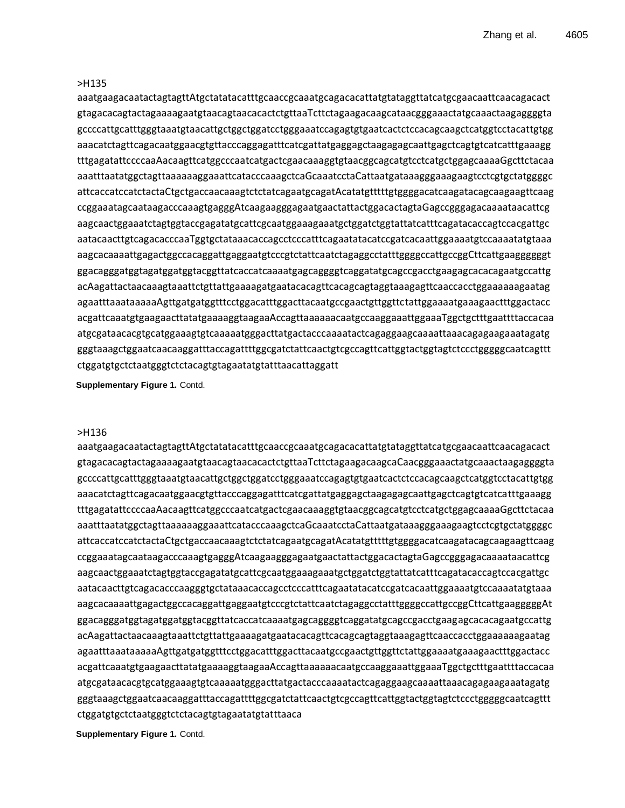aaatgaagacaatactagtagttAtgctatatacatttgcaaccgcaaatgcagacacattatgtataggttatcatgcgaacaattcaacagacact gtagacacagtactagaaaagaatgtaacagtaacacactctgttaaTcttctagaagacaagcataacgggaaactatgcaaactaagaggggta gccccattgcatttgggtaaatgtaacattgctggctggatcctgggaaatccagagtgtgaatcactctccacagcaagctcatggtcctacattgtgg aaacatctagttcagacaatggaacgtgttacccaggagatttcatcgattatgaggagctaagagagcaattgagctcagtgtcatcatttgaaagg tttgagatattccccaaAacaagttcatggcccaatcatgactcgaacaaaggtgtaacggcagcatgtcctcatgctggagcaaaaGgcttctacaa aaatttaatatggctagttaaaaaaggaaattcatacccaaagctcaGcaaatcctaCattaatgataaagggaaagaagtcctcgtgctatggggc attcaccatccatctactaCtgctgaccaacaaagtctctatcagaatgcagatAcatatgtttttgtggggacatcaagatacagcaagaagttcaag ccggaaatagcaataagacccaaagtgagggAtcaagaagggagaatgaactattactggacactagtaGagccgggagacaaaataacattcg aagcaactggaaatctagtggtaccgagatatgcattcgcaatggaaagaaatgctggatctggtattatcatttcagatacaccagtccacgattgc aatacaacttgtcagacacccaaTggtgctataaacaccagcctcccatttcagaatatacatccgatcacaattggaaaatgtccaaaatatgtaaa aagcacaaaattgagactggccacaggattgaggaatgtcccgtctattcaatctagaggcctatttggggccattgccggCttcattgaaggggggt ggacagggatggtagatggatggtacggttatcaccatcaaaatgagcaggggtcaggatatgcagccgacctgaagagcacacagaatgccattg acAagattactaacaaagtaaattctgttattgaaaagatgaatacacagttcacagcagtaggtaaagagttcaaccacctggaaaaaagaatag agaatttaaataaaaaAgttgatgatggtttcctggacatttggacttacaatgccgaactgttggttctattggaaaatgaaagaactttggactacc acgattcaaatgtgaagaacttatatgaaaaggtaagaaAccagttaaaaaacaatgccaaggaaattggaaaTggctgctttgaattttaccacaa atgcgataacacgtgcatggaaagtgtcaaaaatgggacttatgactacccaaaatactcagaggaagcaaaattaaacagagaagaaatagatg gggtaaagctggaatcaacaaggatttaccagattttggcgatctattcaactgtcgccagttcattggtactggtagtctccctgggggcaatcagttt ctggatgtgctctaatgggtctctacagtgtagaatatgtatttaacattaggatt

**Supplementary Figure 1.** Contd.

#### >H136

aaatgaagacaatactagtagttAtgctatatacatttgcaaccgcaaatgcagacacattatgtataggttatcatgcgaacaattcaacagacact gtagacacagtactagaaaagaatgtaacagtaacacactctgttaaTcttctagaagacaagcaCaacgggaaactatgcaaactaagaggggta gccccattgcatttgggtaaatgtaacattgctggctggatcctgggaaatccagagtgtgaatcactctccacagcaagctcatggtcctacattgtgg aaacatctagttcagacaatggaacgtgttacccaggagatttcatcgattatgaggagctaagagagcaattgagctcagtgtcatcatttgaaagg tttgagatattccccaaAacaagttcatggcccaatcatgactcgaacaaaggtgtaacggcagcatgtcctcatgctggagcaaaaGgcttctacaa aaatttaatatggctagttaaaaaaggaaattcatacccaaagctcaGcaaatcctaCattaatgataaagggaaagaagtcctcgtgctatggggc attcaccatccatctactaCtgctgaccaacaaagtctctatcagaatgcagatAcatatgtttttgtggggacatcaagatacagcaagaagttcaag ccggaaatagcaataagacccaaagtgagggAtcaagaagggagaatgaactattactggacactagtaGagccgggagacaaaataacattcg aagcaactggaaatctagtggtaccgagatatgcattcgcaatggaaagaaatgctggatctggtattatcatttcagatacaccagtccacgattgc aatacaacttgtcagacacccaagggtgctataaacaccagcctcccatttcagaatatacatccgatcacaattggaaaatgtccaaaatatgtaaa aagcacaaaattgagactggccacaggattgaggaatgtcccgtctattcaatctagaggcctatttggggccattgccggCttcattgaagggggAt ggacagggatggtagatggatggtacggttatcaccatcaaaatgagcaggggtcaggatatgcagccgacctgaagagcacacagaatgccattg acAagattactaacaaagtaaattctgttattgaaaagatgaatacacagttcacagcagtaggtaaagagttcaaccacctggaaaaaagaatag agaatttaaataaaaaAgttgatgatggtttcctggacatttggacttacaatgccgaactgttggttctattggaaaatgaaagaactttggactacc acgattcaaatgtgaagaacttatatgaaaaggtaagaaAccagttaaaaaacaatgccaaggaaattggaaaTggctgctttgaattttaccacaa atgcgataacacgtgcatggaaagtgtcaaaaatgggacttatgactacccaaaatactcagaggaagcaaaattaaacagagaagaaatagatg gggtaaagctggaatcaacaaggatttaccagattttggcgatctattcaactgtcgccagttcattggtactggtagtctccctgggggcaatcagttt ctggatgtgctctaatgggtctctacagtgtagaatatgtatttaaca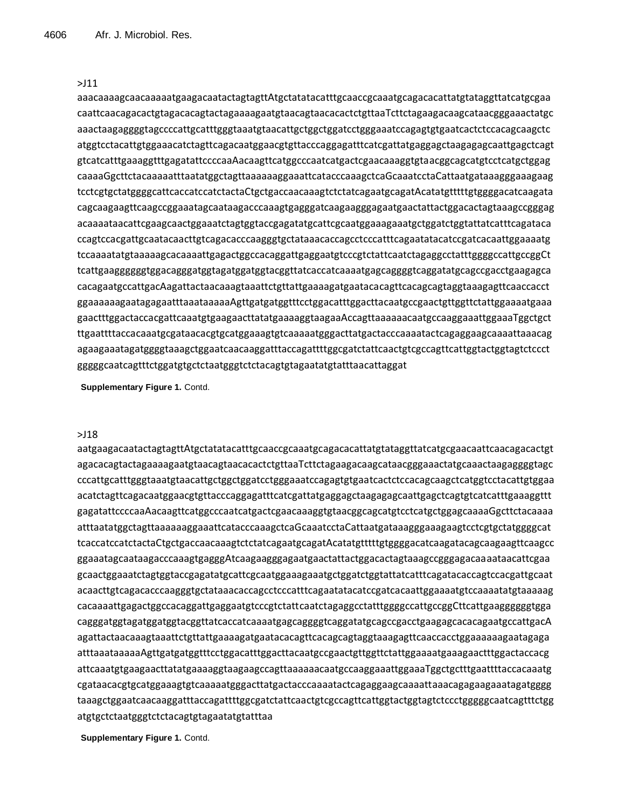# >J11

aaacaaaagcaacaaaaatgaagacaatactagtagttAtgctatatacatttgcaaccgcaaatgcagacacattatgtataggttatcatgcgaa caattcaacagacactgtagacacagtactagaaaagaatgtaacagtaacacactctgttaaTcttctagaagacaagcataacgggaaactatgc aaactaagaggggtagccccattgcatttgggtaaatgtaacattgctggctggatcctgggaaatccagagtgtgaatcactctccacagcaagctc atggtcctacattgtggaaacatctagttcagacaatggaacgtgttacccaggagatttcatcgattatgaggagctaagagagcaattgagctcagt gtcatcatttgaaaggtttgagatattccccaaAacaagttcatggcccaatcatgactcgaacaaaggtgtaacggcagcatgtcctcatgctggag caaaaGgcttctacaaaaatttaatatggctagttaaaaaaggaaattcatacccaaagctcaGcaaatcctaCattaatgataaagggaaagaag tcctcgtgctatggggcattcaccatccatctactaCtgctgaccaacaaagtctctatcagaatgcagatAcatatgtttttgtggggacatcaagata cagcaagaagttcaagccggaaatagcaataagacccaaagtgagggatcaagaagggagaatgaactattactggacactagtaaagccgggag acaaaataacattcgaagcaactggaaatctagtggtaccgagatatgcattcgcaatggaaagaaatgctggatctggtattatcatttcagataca ccagtccacgattgcaatacaacttgtcagacacccaagggtgctataaacaccagcctcccatttcagaatatacatccgatcacaattggaaaatg tccaaaatatgtaaaaagcacaaaattgagactggccacaggattgaggaatgtcccgtctattcaatctagaggcctatttggggccattgccggCt tcattgaaggggggtggacagggatggtagatggatggtacggttatcaccatcaaaatgagcaggggtcaggatatgcagccgacctgaagagca cacagaatgccattgacAagattactaacaaagtaaattctgttattgaaaagatgaatacacagttcacagcagtaggtaaagagttcaaccacct ggaaaaaagaatagagaatttaaataaaaaAgttgatgatggtttcctggacatttggacttacaatgccgaactgttggttctattggaaaatgaaa gaactttggactaccacgattcaaatgtgaagaacttatatgaaaaggtaagaaAccagttaaaaaacaatgccaaggaaattggaaaTggctgct ttgaattttaccacaaatgcgataacacgtgcatggaaagtgtcaaaaatgggacttatgactacccaaaatactcagaggaagcaaaattaaacag agaagaaatagatggggtaaagctggaatcaacaaggatttaccagattttggcgatctattcaactgtcgccagttcattggtactggtagtctccct gggggcaatcagtttctggatgtgctctaatgggtctctacagtgtagaatatgtatttaacattaggat

**Supplementary Figure 1.** Contd.

#### >J18

aatgaagacaatactagtagttAtgctatatacatttgcaaccgcaaatgcagacacattatgtataggttatcatgcgaacaattcaacagacactgt agacacagtactagaaaagaatgtaacagtaacacactctgttaaTcttctagaagacaagcataacgggaaactatgcaaactaagaggggtagc cccattgcatttgggtaaatgtaacattgctggctggatcctgggaaatccagagtgtgaatcactctccacagcaagctcatggtcctacattgtggaa acatctagttcagacaatggaacgtgttacccaggagatttcatcgattatgaggagctaagagagcaattgagctcagtgtcatcatttgaaaggttt gagatattccccaaAacaagttcatggcccaatcatgactcgaacaaaggtgtaacggcagcatgtcctcatgctggagcaaaaGgcttctacaaaa atttaatatggctagttaaaaaaggaaattcatacccaaagctcaGcaaatcctaCattaatgataaagggaaagaagtcctcgtgctatggggcat tcaccatccatctactaCtgctgaccaacaaagtctctatcagaatgcagatAcatatgtttttgtggggacatcaagatacagcaagaagttcaagcc ggaaatagcaataagacccaaagtgagggAtcaagaagggagaatgaactattactggacactagtaaagccgggagacaaaataacattcgaa gcaactggaaatctagtggtaccgagatatgcattcgcaatggaaagaaatgctggatctggtattatcatttcagatacaccagtccacgattgcaat acaacttgtcagacacccaagggtgctataaacaccagcctcccatttcagaatatacatccgatcacaattggaaaatgtccaaaatatgtaaaaag cacaaaattgagactggccacaggattgaggaatgtcccgtctattcaatctagaggcctatttggggccattgccggCttcattgaaggggggtgga cagggatggtagatggatggtacggttatcaccatcaaaatgagcaggggtcaggatatgcagccgacctgaagagcacacagaatgccattgacA agattactaacaaagtaaattctgttattgaaaagatgaatacacagttcacagcagtaggtaaagagttcaaccacctggaaaaaagaatagaga atttaaataaaaaAgttgatgatggtttcctggacatttggacttacaatgccgaactgttggttctattggaaaatgaaagaactttggactaccacg attcaaatgtgaagaacttatatgaaaaggtaagaagccagttaaaaaacaatgccaaggaaattggaaaTggctgctttgaattttaccacaaatg cgataacacgtgcatggaaagtgtcaaaaatgggacttatgactacccaaaatactcagaggaagcaaaattaaacagagaagaaatagatgggg taaagctggaatcaacaaggatttaccagattttggcgatctattcaactgtcgccagttcattggtactggtagtctccctgggggcaatcagtttctgg atgtgctctaatgggtctctacagtgtagaatatgtatttaa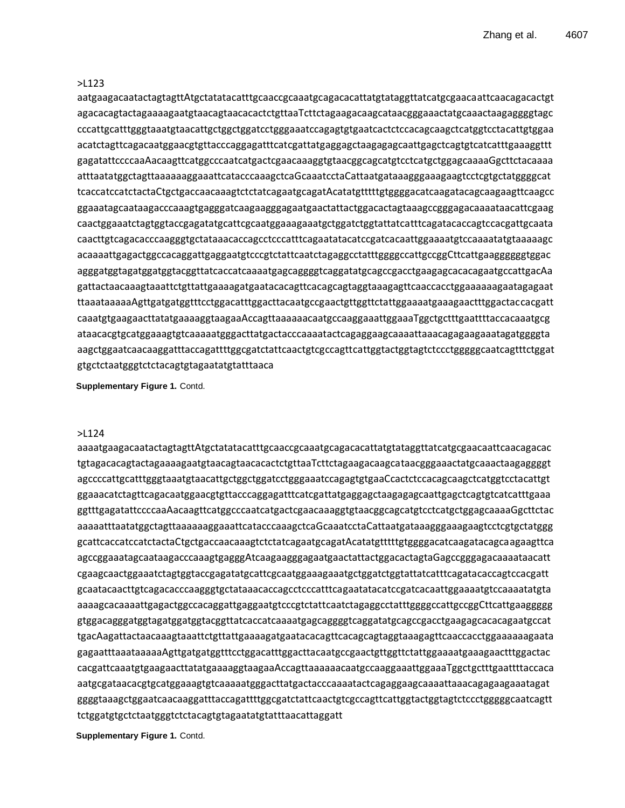# >L123

aatgaagacaatactagtagttAtgctatatacatttgcaaccgcaaatgcagacacattatgtataggttatcatgcgaacaattcaacagacactgt agacacagtactagaaaagaatgtaacagtaacacactctgttaaTcttctagaagacaagcataacgggaaactatgcaaactaagaggggtagc cccattgcatttgggtaaatgtaacattgctggctggatcctgggaaatccagagtgtgaatcactctccacagcaagctcatggtcctacattgtggaa acatctagttcagacaatggaacgtgttacccaggagatttcatcgattatgaggagctaagagagcaattgagctcagtgtcatcatttgaaaggttt gagatattccccaaAacaagttcatggcccaatcatgactcgaacaaaggtgtaacggcagcatgtcctcatgctggagcaaaaGgcttctacaaaa atttaatatggctagttaaaaaaggaaattcatacccaaagctcaGcaaatcctaCattaatgataaagggaaagaagtcctcgtgctatggggcat tcaccatccatctactaCtgctgaccaacaaagtctctatcagaatgcagatAcatatgtttttgtggggacatcaagatacagcaagaagttcaagcc ggaaatagcaataagacccaaagtgagggatcaagaagggagaatgaactattactggacactagtaaagccgggagacaaaataacattcgaag caactggaaatctagtggtaccgagatatgcattcgcaatggaaagaaatgctggatctggtattatcatttcagatacaccagtccacgattgcaata caacttgtcagacacccaagggtgctataaacaccagcctcccatttcagaatatacatccgatcacaattggaaaatgtccaaaatatgtaaaaagc acaaaattgagactggccacaggattgaggaatgtcccgtctattcaatctagaggcctatttggggccattgccggCttcattgaaggggggtggac agggatggtagatggatggtacggttatcaccatcaaaatgagcaggggtcaggatatgcagccgacctgaagagcacacagaatgccattgacAa gattactaacaaagtaaattctgttattgaaaagatgaatacacagttcacagcagtaggtaaagagttcaaccacctggaaaaaagaatagagaat ttaaataaaaaAgttgatgatggtttcctggacatttggacttacaatgccgaactgttggttctattggaaaatgaaagaactttggactaccacgatt caaatgtgaagaacttatatgaaaaggtaagaaAccagttaaaaaacaatgccaaggaaattggaaaTggctgctttgaattttaccacaaatgcg ataacacgtgcatggaaagtgtcaaaaatgggacttatgactacccaaaatactcagaggaagcaaaattaaacagagaagaaatagatggggta aagctggaatcaacaaggatttaccagattttggcgatctattcaactgtcgccagttcattggtactggtagtctccctgggggcaatcagtttctggat gtgctctaatgggtctctacagtgtagaatatgtatttaaca

**Supplementary Figure 1.** Contd.

# >L124

aaaatgaagacaatactagtagttAtgctatatacatttgcaaccgcaaatgcagacacattatgtataggttatcatgcgaacaattcaacagacac tgtagacacagtactagaaaagaatgtaacagtaacacactctgttaaTcttctagaagacaagcataacgggaaactatgcaaactaagaggggt agccccattgcatttgggtaaatgtaacattgctggctggatcctgggaaatccagagtgtgaaCcactctccacagcaagctcatggtcctacattgt ggaaacatctagttcagacaatggaacgtgttacccaggagatttcatcgattatgaggagctaagagagcaattgagctcagtgtcatcatttgaaa ggtttgagatattccccaaAacaagttcatggcccaatcatgactcgaacaaaggtgtaacggcagcatgtcctcatgctggagcaaaaGgcttctac aaaaatttaatatggctagttaaaaaaggaaattcatacccaaagctcaGcaaatcctaCattaatgataaagggaaagaagtcctcgtgctatggg gcattcaccatccatctactaCtgctgaccaacaaagtctctatcagaatgcagatAcatatgtttttgtggggacatcaagatacagcaagaagttca agccggaaatagcaataagacccaaagtgagggAtcaagaagggagaatgaactattactggacactagtaGagccgggagacaaaataacatt cgaagcaactggaaatctagtggtaccgagatatgcattcgcaatggaaagaaatgctggatctggtattatcatttcagatacaccagtccacgatt gcaatacaacttgtcagacacccaagggtgctataaacaccagcctcccatttcagaatatacatccgatcacaattggaaaatgtccaaaatatgta aaaagcacaaaattgagactggccacaggattgaggaatgtcccgtctattcaatctagaggcctatttggggccattgccggCttcattgaaggggg gtggacagggatggtagatggatggtacggttatcaccatcaaaatgagcaggggtcaggatatgcagccgacctgaagagcacacagaatgccat tgacAagattactaacaaagtaaattctgttattgaaaagatgaatacacagttcacagcagtaggtaaagagttcaaccacctggaaaaaagaata gagaatttaaataaaaaAgttgatgatggtttcctggacatttggacttacaatgccgaactgttggttctattggaaaatgaaagaactttggactac cacgattcaaatgtgaagaacttatatgaaaaggtaagaaAccagttaaaaaacaatgccaaggaaattggaaaTggctgctttgaattttaccaca aatgcgataacacgtgcatggaaagtgtcaaaaatgggacttatgactacccaaaatactcagaggaagcaaaattaaacagagaagaaatagat ggggtaaagctggaatcaacaaggatttaccagattttggcgatctattcaactgtcgccagttcattggtactggtagtctccctgggggcaatcagtt tctggatgtgctctaatgggtctctacagtgtagaatatgtatttaacattaggatt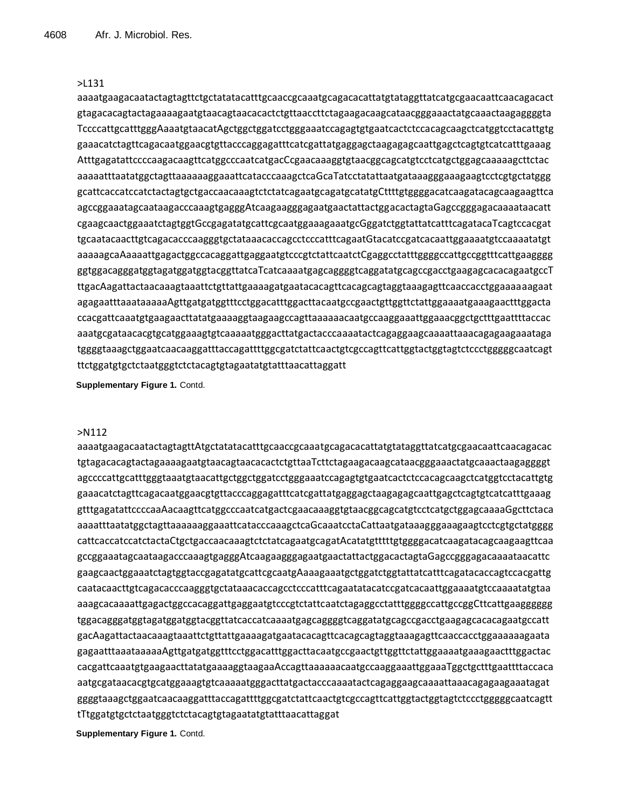# >L131

aaaatgaagacaatactagtagttctgctatatacatttgcaaccgcaaatgcagacacattatgtataggttatcatgcgaacaattcaacagacact gtagacacagtactagaaaagaatgtaacagtaacacactctgttaaccttctagaagacaagcataacgggaaactatgcaaactaagaggggta TccccattgcatttgggAaaatgtaacatAgctggctggatcctgggaaatccagagtgtgaatcactctccacagcaagctcatggtcctacattgtg gaaacatctagttcagacaatggaacgtgttacccaggagatttcatcgattatgaggagctaagagagcaattgagctcagtgtcatcatttgaaag AtttgagatattccccaagacaagttcatggcccaatcatgacCcgaacaaaggtgtaacggcagcatgtcctcatgctggagcaaaaagcttctac aaaaatttaatatggctagttaaaaaaggaaattcatacccaaagctcaGcaTatcctatattaatgataaagggaaagaagtcctcgtgctatggg gcattcaccatccatctactagtgctgaccaacaaagtctctatcagaatgcagatgcatatgCttttgtggggacatcaagatacagcaagaagttca agccggaaatagcaataagacccaaagtgagggAtcaagaagggagaatgaactattactggacactagtaGagccgggagacaaaataacatt cgaagcaactggaaatctagtggtGccgagatatgcattcgcaatggaaagaaatgcGggatctggtattatcatttcagatacaTcagtccacgat tgcaatacaacttgtcagacacccaagggtgctataaacaccagcctcccatttcagaatGtacatccgatcacaattggaaaatgtccaaaatatgt aaaaagcaAaaaattgagactggccacaggattgaggaatgtcccgtctattcaatctCgaggcctatttggggccattgccggtttcattgaagggg ggtggacagggatggtagatggatggtacggttatcaTcatcaaaatgagcaggggtcaggatatgcagccgacctgaagagcacacagaatgccT ttgacAagattactaacaaagtaaattctgttattgaaaagatgaatacacagttcacagcagtaggtaaagagttcaaccacctggaaaaaagaat agagaatttaaataaaaaAgttgatgatggtttcctggacatttggacttacaatgccgaactgttggttctattggaaaatgaaagaactttggacta ccacgattcaaatgtgaagaacttatatgaaaaggtaagaagccagttaaaaaacaatgccaaggaaattggaaacggctgctttgaattttaccac aaatgcgataacacgtgcatggaaagtgtcaaaaatgggacttatgactacccaaaatactcagaggaagcaaaattaaacagagaagaaataga tggggtaaagctggaatcaacaaggatttaccagattttggcgatctattcaactgtcgccagttcattggtactggtagtctccctgggggcaatcagt ttctggatgtgctctaatgggtctctacagtgtagaatatgtatttaacattaggatt

**Supplementary Figure 1.** Contd.

# >N112

aaaatgaagacaatactagtagttAtgctatatacatttgcaaccgcaaatgcagacacattatgtataggttatcatgcgaacaattcaacagacac tgtagacacagtactagaaaagaatgtaacagtaacacactctgttaaTcttctagaagacaagcataacgggaaactatgcaaactaagaggggt agccccattgcatttgggtaaatgtaacattgctggctggatcctgggaaatccagagtgtgaatcactctccacagcaagctcatggtcctacattgtg gaaacatctagttcagacaatggaacgtgttacccaggagatttcatcgattatgaggagctaagagagcaattgagctcagtgtcatcatttgaaag gtttgagatattccccaaAacaagttcatggcccaatcatgactcgaacaaaggtgtaacggcagcatgtcctcatgctggagcaaaaGgcttctaca aaaatttaatatggctagttaaaaaaggaaattcatacccaaagctcaGcaaatcctaCattaatgataaagggaaagaagtcctcgtgctatgggg cattcaccatccatctactaCtgctgaccaacaaagtctctatcagaatgcagatAcatatgtttttgtggggacatcaagatacagcaagaagttcaa gccggaaatagcaataagacccaaagtgagggAtcaagaagggagaatgaactattactggacactagtaGagccgggagacaaaataacattc gaagcaactggaaatctagtggtaccgagatatgcattcgcaatgAaaagaaatgctggatctggtattatcatttcagatacaccagtccacgattg caatacaacttgtcagacacccaagggtgctataaacaccagcctcccatttcagaatatacatccgatcacaattggaaaatgtccaaaatatgtaa aaagcacaaaattgagactggccacaggattgaggaatgtcccgtctattcaatctagaggcctatttggggccattgccggCttcattgaagggggg tggacagggatggtagatggatggtacggttatcaccatcaaaatgagcaggggtcaggatatgcagccgacctgaagagcacacagaatgccatt gacAagattactaacaaagtaaattctgttattgaaaagatgaatacacagttcacagcagtaggtaaagagttcaaccacctggaaaaaagaata gagaatttaaataaaaaAgttgatgatggtttcctggacatttggacttacaatgccgaactgttggttctattggaaaatgaaagaactttggactac cacgattcaaatgtgaagaacttatatgaaaaggtaagaaAccagttaaaaaacaatgccaaggaaattggaaaTggctgctttgaattttaccaca aatgcgataacacgtgcatggaaagtgtcaaaaatgggacttatgactacccaaaatactcagaggaagcaaaattaaacagagaagaaatagat ggggtaaagctggaatcaacaaggatttaccagattttggcgatctattcaactgtcgccagttcattggtactggtagtctccctgggggcaatcagtt tTtggatgtgctctaatgggtctctacagtgtagaatatgtatttaacattaggat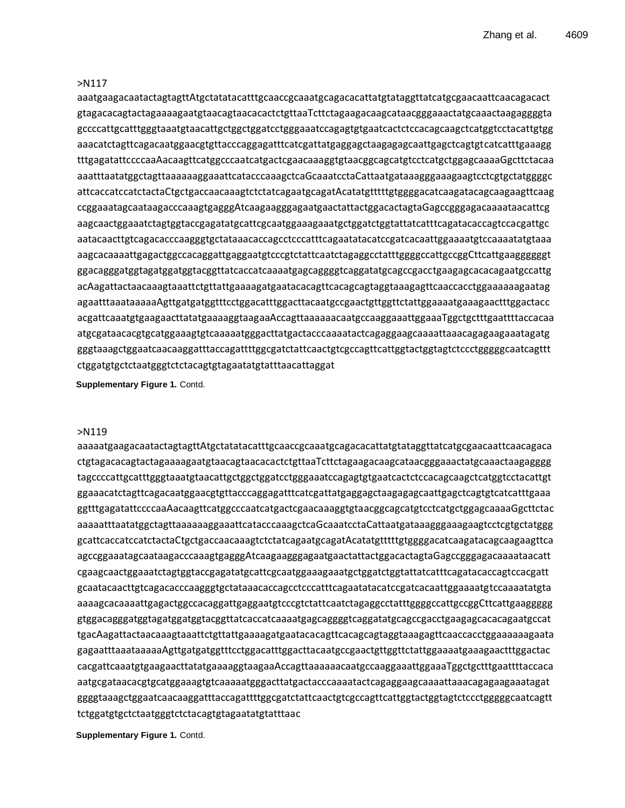# >N117

aaatgaagacaatactagtagttAtgctatatacatttgcaaccgcaaatgcagacacattatgtataggttatcatgcgaacaattcaacagacact gtagacacagtactagaaaagaatgtaacagtaacacactctgttaaTcttctagaagacaagcataacgggaaactatgcaaactaagaggggta gccccattgcatttgggtaaatgtaacattgctggctggatcctgggaaatccagagtgtgaatcactctccacagcaagctcatggtcctacattgtgg aaacatctagttcagacaatggaacgtgttacccaggagatttcatcgattatgaggagctaagagagcaattgagctcagtgtcatcatttgaaagg tttgagatattccccaaAacaagttcatggcccaatcatgactcgaacaaaggtgtaacggcagcatgtcctcatgctggagcaaaaGgcttctacaa aaatttaatatggctagttaaaaaaggaaattcatacccaaagctcaGcaaatcctaCattaatgataaagggaaagaagtcctcgtgctatggggc attcaccatccatctactaCtgctgaccaacaaagtctctatcagaatgcagatAcatatgtttttgtggggacatcaagatacagcaagaagttcaag ccggaaatagcaataagacccaaagtgagggAtcaagaagggagaatgaactattactggacactagtaGagccgggagacaaaataacattcg aagcaactggaaatctagtggtaccgagatatgcattcgcaatggaaagaaatgctggatctggtattatcatttcagatacaccagtccacgattgc aatacaacttgtcagacacccaagggtgctataaacaccagcctcccatttcagaatatacatccgatcacaattggaaaatgtccaaaatatgtaaa aagcacaaaattgagactggccacaggattgaggaatgtcccgtctattcaatctagaggcctatttggggccattgccggCttcattgaaggggggt ggacagggatggtagatggatggtacggttatcaccatcaaaatgagcaggggtcaggatatgcagccgacctgaagagcacacagaatgccattg acAagattactaacaaagtaaattctgttattgaaaagatgaatacacagttcacagcagtaggtaaagagttcaaccacctggaaaaaagaatag agaatttaaataaaaaAgttgatgatggtttcctggacatttggacttacaatgccgaactgttggttctattggaaaatgaaagaactttggactacc acgattcaaatgtgaagaacttatatgaaaaggtaagaaAccagttaaaaaacaatgccaaggaaattggaaaTggctgctttgaattttaccacaa atgcgataacacgtgcatggaaagtgtcaaaaatgggacttatgactacccaaaatactcagaggaagcaaaattaaacagagaagaaatagatg gggtaaagctggaatcaacaaggatttaccagattttggcgatctattcaactgtcgccagttcattggtactggtagtctccctgggggcaatcagttt ctggatgtgctctaatgggtctctacagtgtagaatatgtatttaacattaggat

**Supplementary Figure 1.** Contd.

# >N119

aaaaatgaagacaatactagtagttAtgctatatacatttgcaaccgcaaatgcagacacattatgtataggttatcatgcgaacaattcaacagaca ctgtagacacagtactagaaaagaatgtaacagtaacacactctgttaaTcttctagaagacaagcataacgggaaactatgcaaactaagagggg tagccccattgcatttgggtaaatgtaacattgctggctggatcctgggaaatccagagtgtgaatcactctccacagcaagctcatggtcctacattgt ggaaacatctagttcagacaatggaacgtgttacccaggagatttcatcgattatgaggagctaagagagcaattgagctcagtgtcatcatttgaaa ggtttgagatattccccaaAacaagttcatggcccaatcatgactcgaacaaaggtgtaacggcagcatgtcctcatgctggagcaaaaGgcttctac aaaaatttaatatggctagttaaaaaaggaaattcatacccaaagctcaGcaaatcctaCattaatgataaagggaaagaagtcctcgtgctatggg gcattcaccatccatctactaCtgctgaccaacaaagtctctatcagaatgcagatAcatatgtttttgtggggacatcaagatacagcaagaagttca agccggaaatagcaataagacccaaagtgagggAtcaagaagggagaatgaactattactggacactagtaGagccgggagacaaaataacatt cgaagcaactggaaatctagtggtaccgagatatgcattcgcaatggaaagaaatgctggatctggtattatcatttcagatacaccagtccacgatt gcaatacaacttgtcagacacccaagggtgctataaacaccagcctcccatttcagaatatacatccgatcacaattggaaaatgtccaaaatatgta aaaagcacaaaattgagactggccacaggattgaggaatgtcccgtctattcaatctagaggcctatttggggccattgccggCttcattgaaggggg gtggacagggatggtagatggatggtacggttatcaccatcaaaatgagcaggggtcaggatatgcagccgacctgaagagcacacagaatgccat tgacAagattactaacaaagtaaattctgttattgaaaagatgaatacacagttcacagcagtaggtaaagagttcaaccacctggaaaaaagaata gagaatttaaataaaaaAgttgatgatggtttcctggacatttggacttacaatgccgaactgttggttctattggaaaatgaaagaactttggactac cacgattcaaatgtgaagaacttatatgaaaaggtaagaaAccagttaaaaaacaatgccaaggaaattggaaaTggctgctttgaattttaccaca aatgcgataacacgtgcatggaaagtgtcaaaaatgggacttatgactacccaaaatactcagaggaagcaaaattaaacagagaagaaatagat ggggtaaagctggaatcaacaaggatttaccagattttggcgatctattcaactgtcgccagttcattggtactggtagtctccctgggggcaatcagtt tctggatgtgctctaatgggtctctacagtgtagaatatgtatttaac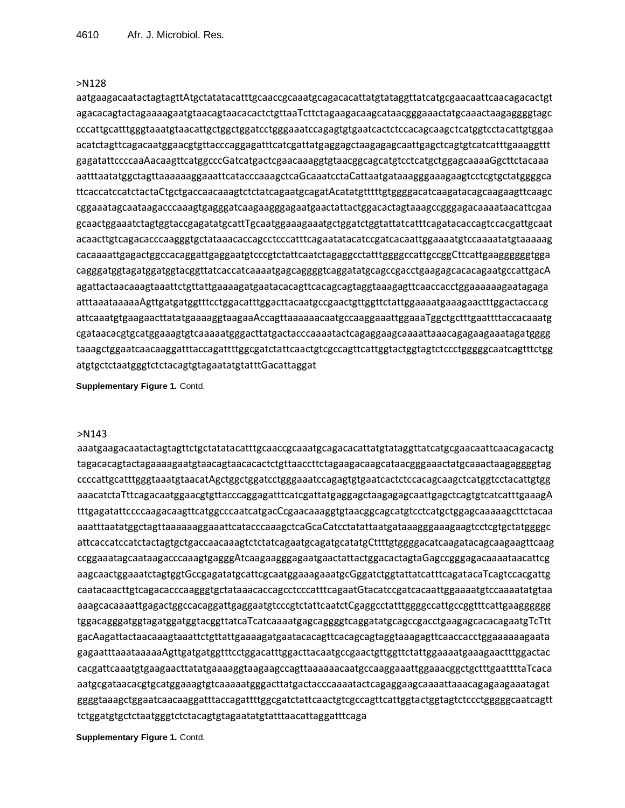# >N128

aatgaagacaatactagtagttAtgctatatacatttgcaaccgcaaatgcagacacattatgtataggttatcatgcgaacaattcaacagacactgt agacacagtactagaaaagaatgtaacagtaacacactctgttaaTcttctagaagacaagcataacgggaaactatgcaaactaagaggggtagc cccattgcatttgggtaaatgtaacattgctggctggatcctgggaaatccagagtgtgaatcactctccacagcaagctcatggtcctacattgtggaa acatctagttcagacaatggaacgtgttacccaggagatttcatcgattatgaggagctaagagagcaattgagctcagtgtcatcatttgaaaggttt gagatattccccaaAacaagttcatggcccGatcatgactcgaacaaaggtgtaacggcagcatgtcctcatgctggagcaaaaGgcttctacaaa aatttaatatggctagttaaaaaaggaaattcatacccaaagctcaGcaaatcctaCattaatgataaagggaaagaagtcctcgtgctatggggca ttcaccatccatctactaCtgctgaccaacaaagtctctatcagaatgcagatAcatatgtttttgtggggacatcaagatacagcaagaagttcaagc cggaaatagcaataagacccaaagtgagggatcaagaagggagaatgaactattactggacactagtaaagccgggagacaaaataacattcgaa gcaactggaaatctagtggtaccgagatatgcattTgcaatggaaagaaatgctggatctggtattatcatttcagatacaccagtccacgattgcaat acaacttgtcagacacccaagggtgctataaacaccagcctcccatttcagaatatacatccgatcacaattggaaaatgtccaaaatatgtaaaaag cacaaaattgagactggccacaggattgaggaatgtcccgtctattcaatctagaggcctatttggggccattgccggCttcattgaaggggggtgga cagggatggtagatggatggtacggttatcaccatcaaaatgagcaggggtcaggatatgcagccgacctgaagagcacacagaatgccattgacA agattactaacaaagtaaattctgttattgaaaagatgaatacacagttcacagcagtaggtaaagagttcaaccacctggaaaaaagaatagaga atttaaataaaaaAgttgatgatggtttcctggacatttggacttacaatgccgaactgttggttctattggaaaatgaaagaactttggactaccacg attcaaatgtgaagaacttatatgaaaaggtaagaaAccagttaaaaaacaatgccaaggaaattggaaaTggctgctttgaattttaccacaaatg cgataacacgtgcatggaaagtgtcaaaaatgggacttatgactacccaaaatactcagaggaagcaaaattaaacagagaagaaatagatgggg taaagctggaatcaacaaggatttaccagattttggcgatctattcaactgtcgccagttcattggtactggtagtctccctgggggcaatcagtttctgg atgtgctctaatgggtctctacagtgtagaatatgtatttGacattaggat

**Supplementary Figure 1.** Contd.

#### >N143

aaatgaagacaatactagtagttctgctatatacatttgcaaccgcaaatgcagacacattatgtataggttatcatgcgaacaattcaacagacactg tagacacagtactagaaaagaatgtaacagtaacacactctgttaaccttctagaagacaagcataacgggaaactatgcaaactaagaggggtag ccccattgcatttgggtaaatgtaacatAgctggctggatcctgggaaatccagagtgtgaatcactctccacagcaagctcatggtcctacattgtgg aaacatctaTttcagacaatggaacgtgttacccaggagatttcatcgattatgaggagctaagagagcaattgagctcagtgtcatcatttgaaagA tttgagatattccccaagacaagttcatggcccaatcatgacCcgaacaaaggtgtaacggcagcatgtcctcatgctggagcaaaaagcttctacaa aaatttaatatggctagttaaaaaaggaaattcatacccaaagctcaGcaCatcctatattaatgataaagggaaagaagtcctcgtgctatggggc attcaccatccatctactagtgctgaccaacaaagtctctatcagaatgcagatgcatatgCttttgtggggacatcaagatacagcaagaagttcaag ccggaaatagcaataagacccaaagtgagggAtcaagaagggagaatgaactattactggacactagtaGagccgggagacaaaataacattcg aagcaactggaaatctagtggtGccgagatatgcattcgcaatggaaagaaatgcGggatctggtattatcatttcagatacaTcagtccacgattg caatacaacttgtcagacacccaagggtgctataaacaccagcctcccatttcagaatGtacatccgatcacaattggaaaatgtccaaaatatgtaa aaagcacaaaattgagactggccacaggattgaggaatgtcccgtctattcaatctCgaggcctatttggggccattgccggtttcattgaagggggg tggacagggatggtagatggatggtacggttatcaTcatcaaaatgagcaggggtcaggatatgcagccgacctgaagagcacacagaatgTcTtt gacAagattactaacaaagtaaattctgttattgaaaagatgaatacacagttcacagcagtaggtaaagagttcaaccacctggaaaaaagaata gagaatttaaataaaaaAgttgatgatggtttcctggacatttggacttacaatgccgaactgttggttctattggaaaatgaaagaactttggactac cacgattcaaatgtgaagaacttatatgaaaaggtaagaagccagttaaaaaacaatgccaaggaaattggaaacggctgctttgaattttaTcaca aatgcgataacacgtgcatggaaagtgtcaaaaatgggacttatgactacccaaaatactcagaggaagcaaaattaaacagagaagaaatagat ggggtaaagctggaatcaacaaggatttaccagattttggcgatctattcaactgtcgccagttcattggtactggtagtctccctgggggcaatcagtt tctggatgtgctctaatgggtctctacagtgtagaatatgtatttaacattaggatttcaga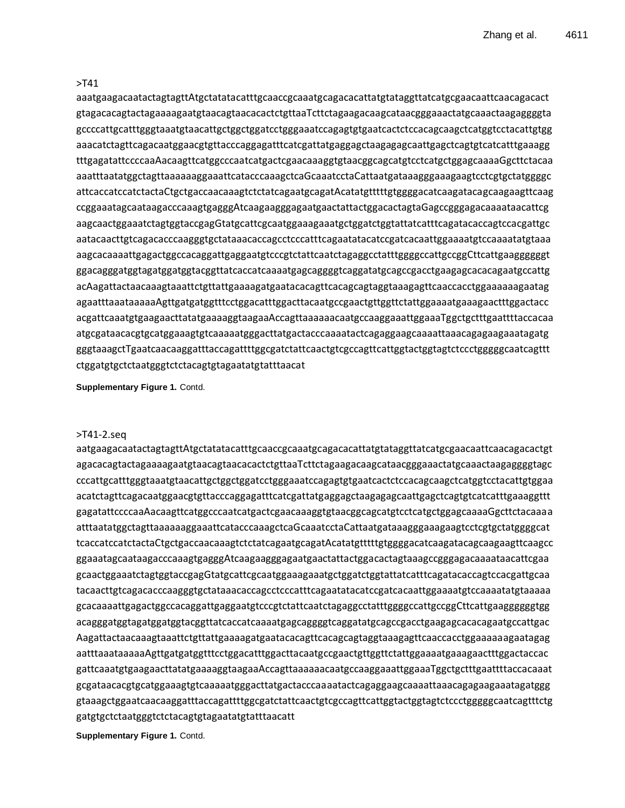# >T41

aaatgaagacaatactagtagttAtgctatatacatttgcaaccgcaaatgcagacacattatgtataggttatcatgcgaacaattcaacagacact gtagacacagtactagaaaagaatgtaacagtaacacactctgttaaTcttctagaagacaagcataacgggaaactatgcaaactaagaggggta gccccattgcatttgggtaaatgtaacattgctggctggatcctgggaaatccagagtgtgaatcactctccacagcaagctcatggtcctacattgtgg aaacatctagttcagacaatggaacgtgttacccaggagatttcatcgattatgaggagctaagagagcaattgagctcagtgtcatcatttgaaagg tttgagatattccccaaAacaagttcatggcccaatcatgactcgaacaaaggtgtaacggcagcatgtcctcatgctggagcaaaaGgcttctacaa aaatttaatatggctagttaaaaaaggaaattcatacccaaagctcaGcaaatcctaCattaatgataaagggaaagaagtcctcgtgctatggggc attcaccatccatctactaCtgctgaccaacaaagtctctatcagaatgcagatAcatatgtttttgtggggacatcaagatacagcaagaagttcaag ccggaaatagcaataagacccaaagtgagggAtcaagaagggagaatgaactattactggacactagtaGagccgggagacaaaataacattcg aagcaactggaaatctagtggtaccgagGtatgcattcgcaatggaaagaaatgctggatctggtattatcatttcagatacaccagtccacgattgc aatacaacttgtcagacacccaagggtgctataaacaccagcctcccatttcagaatatacatccgatcacaattggaaaatgtccaaaatatgtaaa aagcacaaaattgagactggccacaggattgaggaatgtcccgtctattcaatctagaggcctatttggggccattgccggCttcattgaaggggggt ggacagggatggtagatggatggtacggttatcaccatcaaaatgagcaggggtcaggatatgcagccgacctgaagagcacacagaatgccattg acAagattactaacaaagtaaattctgttattgaaaagatgaatacacagttcacagcagtaggtaaagagttcaaccacctggaaaaaagaatag agaatttaaataaaaaAgttgatgatggtttcctggacatttggacttacaatgccgaactgttggttctattggaaaatgaaagaactttggactacc acgattcaaatgtgaagaacttatatgaaaaggtaagaaAccagttaaaaaacaatgccaaggaaattggaaaTggctgctttgaattttaccacaa atgcgataacacgtgcatggaaagtgtcaaaaatgggacttatgactacccaaaatactcagaggaagcaaaattaaacagagaagaaatagatg gggtaaagctTgaatcaacaaggatttaccagattttggcgatctattcaactgtcgccagttcattggtactggtagtctccctgggggcaatcagttt ctggatgtgctctaatgggtctctacagtgtagaatatgtatttaacat

**Supplementary Figure 1.** Contd.

#### >T41-2.seq

aatgaagacaatactagtagttAtgctatatacatttgcaaccgcaaatgcagacacattatgtataggttatcatgcgaacaattcaacagacactgt agacacagtactagaaaagaatgtaacagtaacacactctgttaaTcttctagaagacaagcataacgggaaactatgcaaactaagaggggtagc cccattgcatttgggtaaatgtaacattgctggctggatcctgggaaatccagagtgtgaatcactctccacagcaagctcatggtcctacattgtggaa acatctagttcagacaatggaacgtgttacccaggagatttcatcgattatgaggagctaagagagcaattgagctcagtgtcatcatttgaaaggttt gagatattccccaaAacaagttcatggcccaatcatgactcgaacaaaggtgtaacggcagcatgtcctcatgctggagcaaaaGgcttctacaaaa atttaatatggctagttaaaaaaggaaattcatacccaaagctcaGcaaatcctaCattaatgataaagggaaagaagtcctcgtgctatggggcat tcaccatccatctactaCtgctgaccaacaaagtctctatcagaatgcagatAcatatgtttttgtggggacatcaagatacagcaagaagttcaagcc ggaaatagcaataagacccaaagtgagggAtcaagaagggagaatgaactattactggacactagtaaagccgggagacaaaataacattcgaa gcaactggaaatctagtggtaccgagGtatgcattcgcaatggaaagaaatgctggatctggtattatcatttcagatacaccagtccacgattgcaa tacaacttgtcagacacccaagggtgctataaacaccagcctcccatttcagaatatacatccgatcacaattggaaaatgtccaaaatatgtaaaaa gcacaaaattgagactggccacaggattgaggaatgtcccgtctattcaatctagaggcctatttggggccattgccggCttcattgaaggggggtgg acagggatggtagatggatggtacggttatcaccatcaaaatgagcaggggtcaggatatgcagccgacctgaagagcacacagaatgccattgac Aagattactaacaaagtaaattctgttattgaaaagatgaatacacagttcacagcagtaggtaaagagttcaaccacctggaaaaaagaatagag aatttaaataaaaaAgttgatgatggtttcctggacatttggacttacaatgccgaactgttggttctattggaaaatgaaagaactttggactaccac gattcaaatgtgaagaacttatatgaaaaggtaagaaAccagttaaaaaacaatgccaaggaaattggaaaTggctgctttgaattttaccacaaat gcgataacacgtgcatggaaagtgtcaaaaatgggacttatgactacccaaaatactcagaggaagcaaaattaaacagagaagaaatagatggg gtaaagctggaatcaacaaggatttaccagattttggcgatctattcaactgtcgccagttcattggtactggtagtctccctgggggcaatcagtttctg gatgtgctctaatgggtctctacagtgtagaatatgtatttaacatt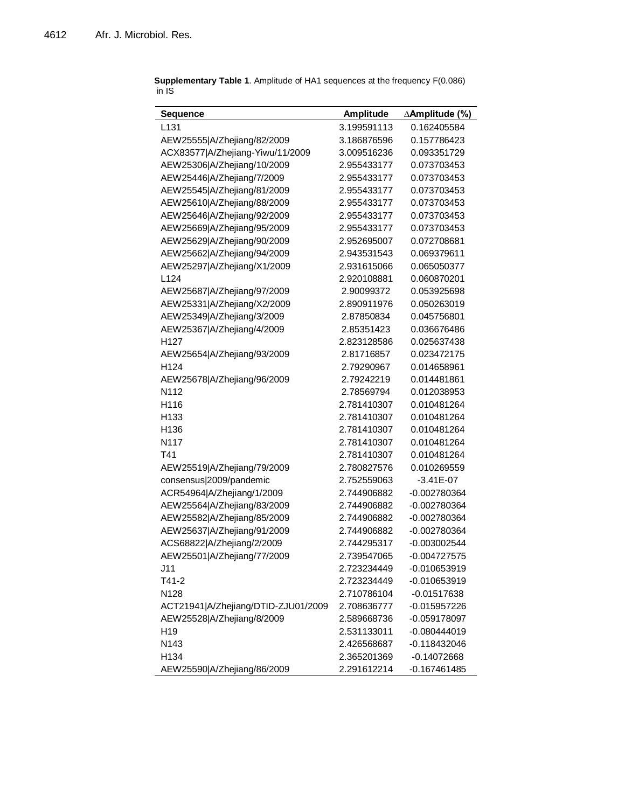| <b>Sequence</b>                     | Amplitude   | ∆Amplitude (%) |
|-------------------------------------|-------------|----------------|
| L <sub>131</sub>                    | 3.199591113 | 0.162405584    |
| AEW25555 A/Zhejiang/82/2009         | 3.186876596 | 0.157786423    |
| ACX83577 A/Zhejiang-Yiwu/11/2009    | 3.009516236 | 0.093351729    |
| AEW25306 A/Zhejiang/10/2009         | 2.955433177 | 0.073703453    |
| AEW25446 A/Zhejiang/7/2009          | 2.955433177 | 0.073703453    |
| AEW25545 A/Zhejiang/81/2009         | 2.955433177 | 0.073703453    |
| AEW25610 A/Zhejiang/88/2009         | 2.955433177 | 0.073703453    |
| AEW25646 A/Zhejiang/92/2009         | 2.955433177 | 0.073703453    |
| AEW25669 A/Zhejiang/95/2009         | 2.955433177 | 0.073703453    |
| AEW25629 A/Zhejiang/90/2009         | 2.952695007 | 0.072708681    |
| AEW25662 A/Zhejiang/94/2009         | 2.943531543 | 0.069379611    |
| AEW25297 A/Zhejiang/X1/2009         | 2.931615066 | 0.065050377    |
| L <sub>124</sub>                    | 2.920108881 | 0.060870201    |
| AEW25687 A/Zhejiang/97/2009         | 2.90099372  | 0.053925698    |
| AEW25331 A/Zhejiang/X2/2009         | 2.890911976 | 0.050263019    |
| AEW25349 A/Zhejiang/3/2009          | 2.87850834  | 0.045756801    |
| AEW25367 A/Zhejiang/4/2009          | 2.85351423  | 0.036676486    |
| H127                                | 2.823128586 | 0.025637438    |
| AEW25654 A/Zhejiang/93/2009         | 2.81716857  | 0.023472175    |
| H124                                | 2.79290967  | 0.014658961    |
| AEW25678 A/Zhejiang/96/2009         | 2.79242219  | 0.014481861    |
| N112                                | 2.78569794  | 0.012038953    |
| H116                                | 2.781410307 | 0.010481264    |
| H133                                | 2.781410307 | 0.010481264    |
| H136                                | 2.781410307 | 0.010481264    |
| N117                                | 2.781410307 | 0.010481264    |
| T41                                 | 2.781410307 | 0.010481264    |
| AEW25519 A/Zhejiang/79/2009         | 2.780827576 | 0.010269559    |
| consensus 2009/pandemic             | 2.752559063 | $-3.41E-07$    |
| ACR54964 A/Zhejiang/1/2009          | 2.744906882 | $-0.002780364$ |
| AEW25564 A/Zhejiang/83/2009         | 2.744906882 | $-0.002780364$ |
| AEW25582 A/Zhejiang/85/2009         | 2.744906882 | $-0.002780364$ |
| AEW25637 A/Zhejiang/91/2009         | 2.744906882 | $-0.002780364$ |
| ACS68822 A/Zhejiang/2/2009          | 2.744295317 | $-0.003002544$ |
| AEW25501 A/Zhejiang/77/2009         | 2.739547065 | $-0.004727575$ |
| J11                                 | 2.723234449 | $-0.010653919$ |
| T41-2                               | 2.723234449 | $-0.010653919$ |
| N128                                | 2.710786104 | $-0.01517638$  |
| ACT21941 A/Zhejiang/DTID-ZJU01/2009 | 2.708636777 | $-0.015957226$ |
| AEW25528 A/Zhejiang/8/2009          | 2.589668736 | -0.059178097   |
| H <sub>19</sub>                     | 2.531133011 | -0.080444019   |
| N143                                | 2.426568687 | -0.118432046   |
| H134                                | 2.365201369 | $-0.14072668$  |
| AEW25590 A/Zhejiang/86/2009         | 2.291612214 | $-0.167461485$ |

**Supplementary Table 1**. Amplitude of HA1 sequences at the frequency F(0.086) in IS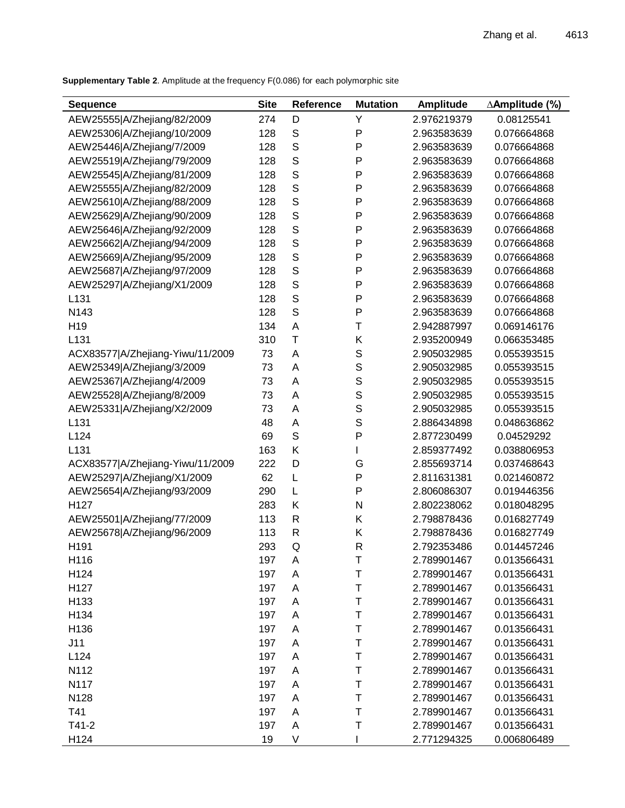**Supplementary Table 2**. Amplitude at the frequency F(0.086) for each polymorphic site

| <b>Sequence</b>                  | <b>Site</b> | <b>Reference</b> | <b>Mutation</b> | Amplitude   | ∆Amplitude (%) |
|----------------------------------|-------------|------------------|-----------------|-------------|----------------|
| AEW25555 A/Zhejiang/82/2009      | 274         | D                | Υ               | 2.976219379 | 0.08125541     |
| AEW25306 A/Zhejiang/10/2009      | 128         | S                | P               | 2.963583639 | 0.076664868    |
| AEW25446 A/Zhejiang/7/2009       | 128         | S                | Ρ               | 2.963583639 | 0.076664868    |
| AEW25519 A/Zhejiang/79/2009      | 128         | S                | P               | 2.963583639 | 0.076664868    |
| AEW25545 A/Zhejiang/81/2009      | 128         | S                | P               | 2.963583639 | 0.076664868    |
| AEW25555 A/Zhejiang/82/2009      | 128         | S                | P               | 2.963583639 | 0.076664868    |
| AEW25610 A/Zhejiang/88/2009      | 128         | S                | Ρ               | 2.963583639 | 0.076664868    |
| AEW25629 A/Zhejiang/90/2009      | 128         | S                | Ρ               | 2.963583639 | 0.076664868    |
| AEW25646 A/Zhejiang/92/2009      | 128         | S                | P               | 2.963583639 | 0.076664868    |
| AEW25662 A/Zhejiang/94/2009      | 128         | S                | P               | 2.963583639 | 0.076664868    |
| AEW25669 A/Zhejiang/95/2009      | 128         | S                | Ρ               | 2.963583639 | 0.076664868    |
| AEW25687 A/Zhejiang/97/2009      | 128         | S                | Ρ               | 2.963583639 | 0.076664868    |
| AEW25297 A/Zhejiang/X1/2009      | 128         | S                | Ρ               | 2.963583639 | 0.076664868    |
| L131                             | 128         | S                | Ρ               | 2.963583639 | 0.076664868    |
| N143                             | 128         | S                | Ρ               | 2.963583639 | 0.076664868    |
| H <sub>19</sub>                  | 134         | Α                | $\mathsf T$     | 2.942887997 | 0.069146176    |
| L131                             | 310         | $\mathsf T$      | Κ               | 2.935200949 | 0.066353485    |
| ACX83577 A/Zhejiang-Yiwu/11/2009 | 73          | Α                | $\mathbf S$     | 2.905032985 | 0.055393515    |
| AEW25349 A/Zhejiang/3/2009       | 73          | A                | S               | 2.905032985 | 0.055393515    |
| AEW25367 A/Zhejiang/4/2009       | 73          | A                | S               | 2.905032985 | 0.055393515    |
| AEW25528 A/Zhejiang/8/2009       | 73          | Α                | $\mathbf S$     | 2.905032985 | 0.055393515    |
| AEW25331 A/Zhejiang/X2/2009      | 73          | Α                | S               | 2.905032985 | 0.055393515    |
| L131                             | 48          | Α                | S               | 2.886434898 | 0.048636862    |
| L124                             | 69          | S                | P               | 2.877230499 | 0.04529292     |
| L131                             | 163         | Κ                | L               | 2.859377492 | 0.038806953    |
| ACX83577 A/Zhejiang-Yiwu/11/2009 | 222         | D                | G               | 2.855693714 | 0.037468643    |
| AEW25297 A/Zhejiang/X1/2009      | 62          | L                | Ρ               | 2.811631381 | 0.021460872    |
| AEW25654 A/Zhejiang/93/2009      | 290         | L                | Ρ               | 2.806086307 | 0.019446356    |
| H <sub>127</sub>                 | 283         | Κ                | $\mathsf{N}$    | 2.802238062 | 0.018048295    |
| AEW25501 A/Zhejiang/77/2009      | 113         | R                | Κ               | 2.798878436 | 0.016827749    |
| AEW25678 A/Zhejiang/96/2009      | 113         | $\mathsf{R}$     | Κ               | 2.798878436 | 0.016827749    |
| H191                             | 293         | Q                | $\mathsf{R}$    | 2.792353486 | 0.014457246    |
| H116                             | 197         | A                | $\mathsf T$     | 2.789901467 | 0.013566431    |
| H124                             | 197         | A                | $\mathsf T$     | 2.789901467 | 0.013566431    |
| H127                             | 197         | A                | $\mathsf T$     | 2.789901467 | 0.013566431    |
| H133                             | 197         | A                | $\sf T$         | 2.789901467 | 0.013566431    |
| H134                             | 197         | A                | $\mathsf T$     | 2.789901467 | 0.013566431    |
| H136                             | 197         | Α                | $\mathsf T$     | 2.789901467 | 0.013566431    |
| J11                              | 197         | A                | $\mathsf T$     | 2.789901467 | 0.013566431    |
| L124                             | 197         | A                | $\top$          | 2.789901467 | 0.013566431    |
| N112                             | 197         | A                | $\mathsf T$     | 2.789901467 | 0.013566431    |
| N117                             | 197         | A                | $\mathsf T$     | 2.789901467 | 0.013566431    |
| N128                             | 197         | A                | $\mathsf T$     | 2.789901467 | 0.013566431    |
| T41                              | 197         | A                | $\mathsf T$     | 2.789901467 | 0.013566431    |
| $T41-2$                          | 197         | A                | $\mathsf T$     | 2.789901467 | 0.013566431    |
| H124                             | 19          | V                |                 | 2.771294325 | 0.006806489    |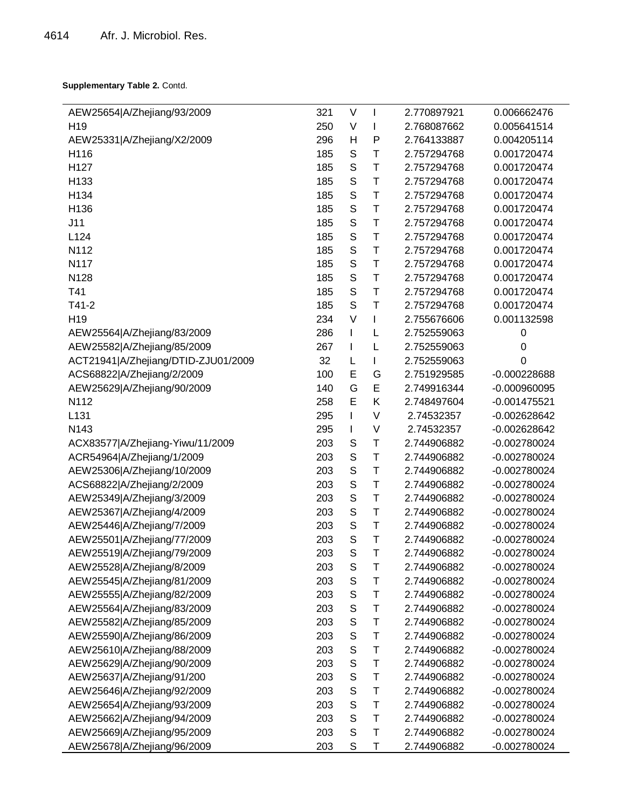**Supplementary Table 2.** Contd.

| AEW25654 A/Zhejiang/93/2009         | 321 | V           | I | 2.770897921 | 0.006662476    |
|-------------------------------------|-----|-------------|---|-------------|----------------|
| H <sub>19</sub>                     | 250 | V           |   | 2.768087662 | 0.005641514    |
| AEW25331 A/Zhejiang/X2/2009         | 296 | н           | P | 2.764133887 | 0.004205114    |
| H116                                | 185 | $\mathbb S$ | T | 2.757294768 | 0.001720474    |
| H127                                | 185 | S           | T | 2.757294768 | 0.001720474    |
| H133                                | 185 | S           | T | 2.757294768 | 0.001720474    |
| H134                                | 185 | S           | T | 2.757294768 | 0.001720474    |
| H136                                | 185 | $\mathbb S$ | T | 2.757294768 | 0.001720474    |
| J11                                 | 185 | S           | T | 2.757294768 | 0.001720474    |
| L124                                | 185 | $\mathsf S$ | T | 2.757294768 | 0.001720474    |
| N112                                | 185 | S           | T | 2.757294768 | 0.001720474    |
| N117                                | 185 | $\mathbb S$ | T | 2.757294768 | 0.001720474    |
| N128                                | 185 | S           | T | 2.757294768 | 0.001720474    |
| T41                                 | 185 | S           | T | 2.757294768 | 0.001720474    |
| $T41-2$                             | 185 | S           | T | 2.757294768 | 0.001720474    |
| H <sub>19</sub>                     | 234 | $\vee$      | I | 2.755676606 | 0.001132598    |
| AEW25564 A/Zhejiang/83/2009         | 286 | I           | L | 2.752559063 | 0              |
| AEW25582 A/Zhejiang/85/2009         | 267 | T           | L | 2.752559063 | 0              |
| ACT21941 A/Zhejiang/DTID-ZJU01/2009 | 32  | L           | I | 2.752559063 | 0              |
| ACS68822 A/Zhejiang/2/2009          | 100 | E           | G | 2.751929585 | $-0.000228688$ |
| AEW25629 A/Zhejiang/90/2009         | 140 | G           | E | 2.749916344 | $-0.000960095$ |
| N112                                | 258 | E           | Κ | 2.748497604 | $-0.001475521$ |
| L131                                | 295 | T           | V | 2.74532357  | $-0.002628642$ |
| N143                                | 295 | I           | V | 2.74532357  | $-0.002628642$ |
| ACX83577 A/Zhejiang-Yiwu/11/2009    | 203 | S           | T | 2.744906882 | -0.002780024   |
| ACR54964 A/Zhejiang/1/2009          | 203 | $\mathsf S$ | T | 2.744906882 | $-0.002780024$ |
| AEW25306 A/Zhejiang/10/2009         | 203 | S           | T | 2.744906882 | $-0.002780024$ |
| ACS68822 A/Zhejiang/2/2009          | 203 | $\mathsf S$ | T | 2.744906882 | $-0.002780024$ |
| AEW25349 A/Zhejiang/3/2009          | 203 | $\mathsf S$ | T | 2.744906882 | $-0.002780024$ |
| AEW25367 A/Zhejiang/4/2009          | 203 | $\mathsf S$ | T | 2.744906882 | $-0.002780024$ |
| AEW25446 A/Zhejiang/7/2009          | 203 | S           | T | 2.744906882 | -0.002780024   |
| AEW25501 A/Zhejiang/77/2009         | 203 | $\mathsf S$ | T | 2.744906882 | $-0.002780024$ |
| AEW25519 A/Zhejiang/79/2009         | 203 | S           | T | 2.744906882 | $-0.002780024$ |
| AEW25528 A/Zhejiang/8/2009          | 203 | S           | Τ | 2.744906882 | -0.002780024   |
| AEW25545 A/Zhejiang/81/2009         | 203 | S           | T | 2.744906882 | $-0.002780024$ |
| AEW25555 A/Zhejiang/82/2009         | 203 | $\mathbb S$ | Τ | 2.744906882 | $-0.002780024$ |
| AEW25564 A/Zhejiang/83/2009         | 203 | $\mathbb S$ | T | 2.744906882 | $-0.002780024$ |
| AEW25582 A/Zhejiang/85/2009         | 203 | $\mathsf S$ | T | 2.744906882 | $-0.002780024$ |
| AEW25590 A/Zhejiang/86/2009         | 203 | S           | T | 2.744906882 | $-0.002780024$ |
| AEW25610 A/Zhejiang/88/2009         | 203 | $\mathsf S$ | T | 2.744906882 | $-0.002780024$ |
| AEW25629 A/Zhejiang/90/2009         | 203 | S           | T | 2.744906882 | $-0.002780024$ |
| AEW25637 A/Zhejiang/91/200          | 203 | $\mathsf S$ | T | 2.744906882 | $-0.002780024$ |
| AEW25646 A/Zhejiang/92/2009         | 203 | S           | T | 2.744906882 | $-0.002780024$ |
| AEW25654 A/Zhejiang/93/2009         | 203 | $\mathbb S$ | T | 2.744906882 | $-0.002780024$ |
| AEW25662 A/Zhejiang/94/2009         | 203 | S           | T | 2.744906882 | $-0.002780024$ |
| AEW25669 A/Zhejiang/95/2009         | 203 | S           | T | 2.744906882 | $-0.002780024$ |
| AEW25678 A/Zhejiang/96/2009         | 203 | S           | T | 2.744906882 | $-0.002780024$ |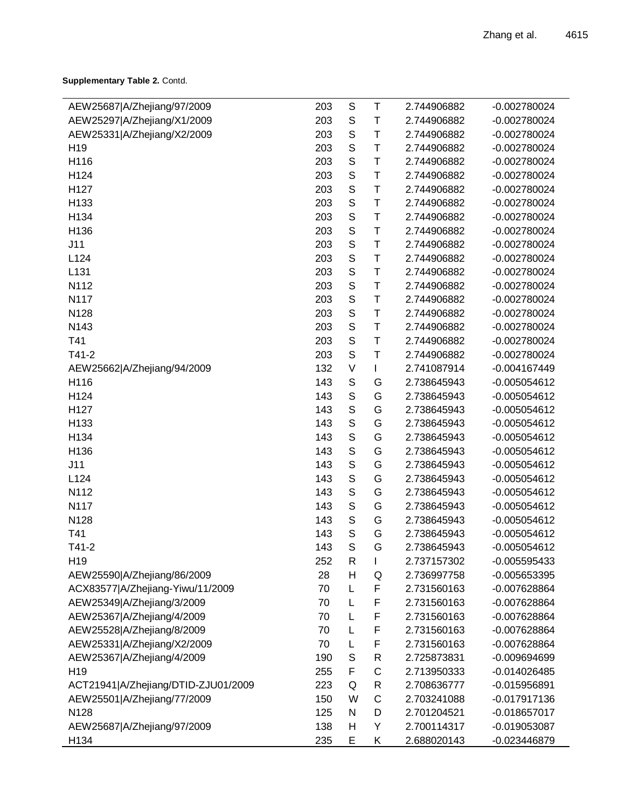**Supplementary Table 2.** Contd.

| AEW25687 A/Zhejiang/97/2009         | 203 | $\mathbb S$ | Τ | 2.744906882 | $-0.002780024$ |
|-------------------------------------|-----|-------------|---|-------------|----------------|
| AEW25297 A/Zhejiang/X1/2009         | 203 | S           | Τ | 2.744906882 | $-0.002780024$ |
| AEW25331 A/Zhejiang/X2/2009         | 203 | S           | T | 2.744906882 | $-0.002780024$ |
| H <sub>19</sub>                     | 203 | $\mathsf S$ | T | 2.744906882 | $-0.002780024$ |
| H116                                | 203 | S           | T | 2.744906882 | $-0.002780024$ |
| H124                                | 203 | S           | T | 2.744906882 | $-0.002780024$ |
| H127                                | 203 | S           | T | 2.744906882 | $-0.002780024$ |
| H133                                | 203 | $\mathsf S$ | T | 2.744906882 | $-0.002780024$ |
| H134                                | 203 | $\mathsf S$ | T | 2.744906882 | $-0.002780024$ |
| H136                                | 203 | S           | T | 2.744906882 | $-0.002780024$ |
| J11                                 | 203 | $\mathbb S$ | T | 2.744906882 | $-0.002780024$ |
| L124                                | 203 | $\mathsf S$ | T | 2.744906882 | $-0.002780024$ |
| L131                                | 203 | S           | T | 2.744906882 | $-0.002780024$ |
| N112                                | 203 | S           | T | 2.744906882 | $-0.002780024$ |
| N117                                | 203 | $\mathbb S$ | T | 2.744906882 | $-0.002780024$ |
| N128                                | 203 | $\mathsf S$ | T | 2.744906882 | $-0.002780024$ |
| N143                                | 203 | S           | T | 2.744906882 | $-0.002780024$ |
| T41                                 | 203 | S           | T | 2.744906882 | $-0.002780024$ |
| $T41-2$                             | 203 | $\mathbb S$ | T | 2.744906882 | $-0.002780024$ |
| AEW25662 A/Zhejiang/94/2009         | 132 | V           | L | 2.741087914 | $-0.004167449$ |
| H116                                | 143 | S           | G | 2.738645943 | $-0.005054612$ |
| H124                                | 143 | S           | G | 2.738645943 | $-0.005054612$ |
| H127                                | 143 | $\mathbb S$ | G | 2.738645943 | $-0.005054612$ |
| H133                                | 143 | $\mathsf S$ | G | 2.738645943 | $-0.005054612$ |
| H134                                | 143 | $\mathsf S$ | G | 2.738645943 | $-0.005054612$ |
| H136                                | 143 | S           | G | 2.738645943 | $-0.005054612$ |
| J11                                 | 143 | $\mathbb S$ | G | 2.738645943 | $-0.005054612$ |
| L124                                | 143 | $\mathsf S$ | G | 2.738645943 | $-0.005054612$ |
| N112                                | 143 | S           | G | 2.738645943 | $-0.005054612$ |
| N117                                | 143 | S           | G | 2.738645943 | $-0.005054612$ |
| N128                                | 143 | $\mathbb S$ | G | 2.738645943 | $-0.005054612$ |
| T41                                 | 143 | S           | G | 2.738645943 | $-0.005054612$ |
| T41-2                               | 143 | S           | G | 2.738645943 | -0.005054612   |
| H <sub>19</sub>                     | 252 | R           | L | 2.737157302 | $-0.005595433$ |
| AEW25590 A/Zhejiang/86/2009         | 28  | H           | Q | 2.736997758 | $-0.005653395$ |
| ACX83577 A/Zhejiang-Yiwu/11/2009    | 70  | L           | F | 2.731560163 | $-0.007628864$ |
| AEW25349 A/Zhejiang/3/2009          | 70  | L           | F | 2.731560163 | $-0.007628864$ |
| AEW25367 A/Zhejiang/4/2009          | 70  | L           | F | 2.731560163 | $-0.007628864$ |
| AEW25528 A/Zhejiang/8/2009          | 70  | L           | F | 2.731560163 | $-0.007628864$ |
| AEW25331 A/Zhejiang/X2/2009         | 70  | L           | F | 2.731560163 | $-0.007628864$ |
| AEW25367 A/Zhejiang/4/2009          | 190 | $\mathbb S$ | R | 2.725873831 | $-0.009694699$ |
| H <sub>19</sub>                     | 255 | F           | C | 2.713950333 | $-0.014026485$ |
| ACT21941 A/Zhejiang/DTID-ZJU01/2009 | 223 | Q           | R | 2.708636777 | $-0.015956891$ |
| AEW25501 A/Zhejiang/77/2009         | 150 | W           | C | 2.703241088 | $-0.017917136$ |
| N128                                | 125 | N           | D | 2.701204521 | $-0.018657017$ |
| AEW25687 A/Zhejiang/97/2009         | 138 | Н           | Υ | 2.700114317 | $-0.019053087$ |
| H134                                | 235 | E           | Κ | 2.688020143 | $-0.023446879$ |